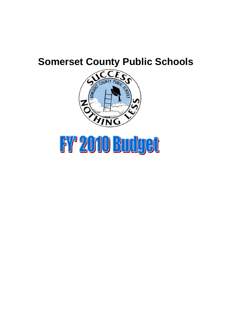# **Somerset County Public Schools**



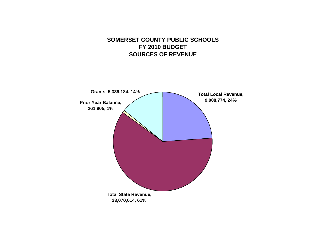#### **SOMERSET COUNTY PUBLIC SCHOOLS FY 2010 BUDGET SOURCES OF REVENUE**

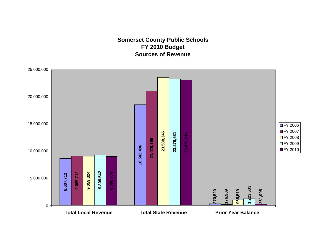#### **Somerset County Public Schools FY 2010 Budget Sources of Revenue**

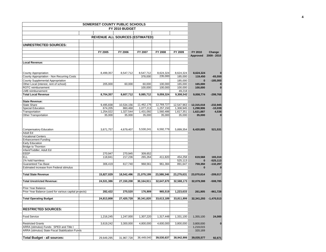|                                                        | SOMERSET COUNTY PUBLIC SCHOOLS         |                     |                     |                     |                     |                     |                 |
|--------------------------------------------------------|----------------------------------------|---------------------|---------------------|---------------------|---------------------|---------------------|-----------------|
|                                                        |                                        | FY 2010 BUDGET      |                     |                     |                     |                     |                 |
|                                                        |                                        |                     |                     |                     |                     |                     |                 |
|                                                        | <b>REVENUE ALL SOURCES (ESTIMATED)</b> |                     |                     |                     |                     |                     |                 |
|                                                        |                                        |                     |                     |                     |                     |                     |                 |
| UNRESTRICTED SOURCES:                                  |                                        |                     |                     |                     |                     |                     |                 |
|                                                        | FY 2005                                | FY 2006             | FY 2007             | FY 2008             | FY 2009             | FY 2010             | Change          |
|                                                        |                                        |                     |                     |                     |                     | Approved            | 2009 - 2010     |
|                                                        |                                        |                     |                     |                     |                     |                     |                 |
| Local Revenue:                                         |                                        |                     |                     |                     |                     |                     |                 |
|                                                        |                                        |                     |                     |                     |                     |                     |                 |
| <b>County Appropriation</b>                            | 8,499,357                              | 8,547,712           | 8,547,712           | 8,624,324           | 8,624,324           | 8,624,324           |                 |
| County Appropriation - Non Recurring Costs             |                                        |                     | 378,000             | 235,000             | 185,000             | 119,450             | $-65,550$       |
| County Supplemental Appropriation                      |                                        |                     |                     |                     | 185,000             | $\bf{0}$            | $-185,000$      |
| Other Local (interest, rent of school)                 | 205,000                                | 60,000              | 60,000              | 100,000<br>100,000  | 165,000             | 165,000             |                 |
| ROTC reimbursement<br><b>LMB</b> reimbursement         |                                        |                     | 100,000             |                     | 100,000<br>49,218   | 100,000             | $\bf{0}$        |
| <b>Total Local Revenue</b>                             | 8,704,357                              | 8,607,712           | 9,085,712           | 9,059,324           | 9,308,542           | 9,008,774           | $-299,768$      |
|                                                        |                                        |                     |                     |                     |                     |                     |                 |
| <b>State Revenue:</b>                                  |                                        |                     |                     |                     |                     |                     |                 |
| <b>State Share</b>                                     | 9,495,838                              | 10,534,156          | 11,462,176          | 12,769,727          | 12,547,963          | 12,315,018          | $-232,945$      |
| <b>Special Education</b>                               | 674,205                                | 860,468             | 1,077,213           | 1,257,150           | 1,308,945           | 1,298,906           | $-10,039$       |
| Transportation<br><b>Other Transportation</b>          | 1,254,022<br>35,000                    | 1,327,544<br>35,000 | 1,431,092<br>35,000 | 1,560,486<br>35,000 | 1,617,351<br>35,000 | 1,621,887<br>35,000 | 4,536           |
|                                                        |                                        |                     |                     |                     |                     |                     |                 |
|                                                        |                                        |                     |                     |                     |                     |                     |                 |
| <b>Compensatory Education</b>                          | 3,671,757                              | 4,679,407           | 5,530,241           | 6,592,779           | 5,899,354           | 6,420,885           | 521,531         |
| Adult Ed<br><b>Vocational Centers</b>                  |                                        |                     |                     |                     |                     |                     |                 |
| <b>Enhancement Funding</b>                             |                                        |                     |                     |                     |                     |                     |                 |
| Early Education                                        |                                        |                     |                     |                     |                     |                     |                 |
| <b>Bridge to Thornton</b>                              |                                        |                     |                     |                     |                     |                     |                 |
| Infant/Toddler; Adult Ed                               |                                        |                     |                     |                     |                     |                     |                 |
| EEEP                                                   | 270,947                                | 270,945             | 309,652             |                     |                     |                     |                 |
| <b>ELL</b>                                             | 118,841                                | 217,236             | 265,264             | 411,820             | 454,258             | 619,568             | 165,310         |
| 1% hold harmless<br><b>Guaranteed Tax Base</b>         |                                        | 617,740             |                     |                     | 525,113             | $\bf{0}$            | $-525,113$      |
| Estimated increase from Federal stimulus               | 306,419                                |                     | 968,561             | 961,384             | 891,647             | 759,350<br>$\bf{0}$ | $-132,297$<br>ŋ |
|                                                        |                                        |                     |                     |                     |                     |                     |                 |
| <b>Total State Revenue</b>                             | 15,827,029                             | 18,542,496          | 21,079,199          | 23,588,346          | 23,279,631          | 23,070,614          | $-209,017$      |
| <b>Total Urestricted Revenue:</b>                      | 24,531,386                             | 27,150,208          | 30,164,911          | 32,647,670          | 32,588,173          | 32,079,388          | $-508,785$      |
| Prior Year Balance                                     |                                        |                     |                     |                     |                     |                     |                 |
| Prior Year Balance (used for various capital projects) | 282,422                                | 270,520             | 176.909             | 965,519             | 1,223,633           | 261,905             | $-961,728$      |
| <b>Total Operating Budget</b>                          | 24,813,808                             | 27,420,728          | 30,341,820          | 33,613,189          | 33,811,806          | 32,341,293          | $-1,470,513$    |
| <b>RESTRICTED SOURCES:</b>                             |                                        |                     |                     |                     |                     |                     |                 |
|                                                        |                                        |                     |                     |                     |                     |                     |                 |
| <b>Food Service</b>                                    | 1,216,245                              | 1,247,000           | 1,307,220           | 1,317,448           | 1,331,100           | 1,355,100           | 24,000          |
| <b>Restricted Grants</b>                               | 3,619,242                              | 3,300,000           | 4,800,000           | 4,600,000           | 3,800,000           | 3,800,000           | $\bf{0}$        |
| ARRA (stimulus) Funds: SPED and Title I                |                                        |                     |                     |                     |                     | 1,219,015           |                 |
| ARRA (stimulus) State Fiscal Stabilization Funds       |                                        |                     |                     |                     |                     | 320,169             |                 |
|                                                        |                                        |                     |                     |                     |                     |                     |                 |
| <b>Total Budget - all sources:</b>                     | 29,649,295                             | 31,967,728          | 36,449,040          | 39,530,637          | 38.942.906          | 39,035,577          | 92,671          |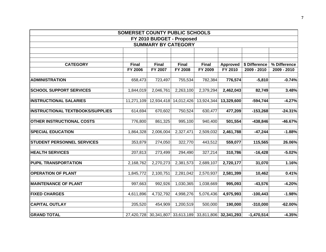|                                         | SOMERSET COUNTY PUBLIC SCHOOLS |              |                            |              |                                                        |               |              |
|-----------------------------------------|--------------------------------|--------------|----------------------------|--------------|--------------------------------------------------------|---------------|--------------|
|                                         |                                |              | FY 2010 BUDGET - Proposed  |              |                                                        |               |              |
|                                         |                                |              | <b>SUMMARY BY CATEGORY</b> |              |                                                        |               |              |
|                                         |                                |              |                            |              |                                                        |               |              |
|                                         |                                |              |                            |              |                                                        |               |              |
| <b>CATEGORY</b>                         | <b>Final</b>                   | <b>Final</b> | <b>Final</b>               | <b>Final</b> | <b>Approved</b>                                        | \$ Difference | % Difference |
|                                         | <b>FY 2006</b>                 | FY 2007      | <b>FY 2008</b>             | FY 2009      | FY 2010                                                | 2009 - 2010   | 2009 - 2010  |
|                                         |                                |              |                            |              |                                                        |               |              |
| <b>ADMINISTRATION</b>                   | 658,473                        | 723,497      | 755,534                    | 782,384      | 776,574                                                | $-5,810$      | $-0.74%$     |
| <b>SCHOOL SUPPORT SERVICES</b>          | 1,844,019                      | 2,046,761    | 2,263,100                  | 2,379,294    | 2,462,043                                              | 82,749        | 3.48%        |
| <b>INSTRUCTIONAL SALARIES</b>           | 11,271,109                     |              | 12,934,418 14,012,426      | 13,924,344   | 13,329,600                                             | $-594,744$    | $-4.27%$     |
|                                         |                                |              |                            |              |                                                        |               |              |
| <b>INSTRUCTIONAL TEXTBOOKS/SUPPLIES</b> | 614,694                        | 670,602      | 750,524                    | 630,477      | 477,209                                                | $-153,268$    | $-24.31%$    |
| <b>OTHER INSTRUCTIONAL COSTS</b>        | 776,800                        | 861,325      | 995,100                    | 940,400      | 501,554                                                | $-438,846$    | -46.67%      |
| <b>SPECIAL EDUCATION</b>                | 1,864,328                      | 2,006,004    | 2,327,471                  | 2,509,032    | 2,461,788                                              | $-47,244$     | $-1.88%$     |
| <b>STUDENT PERSONNEL SERVICES</b>       | 353,879                        | 274,050      | 322,770                    | 443,512      | 559,077                                                | 115,565       | 26.06%       |
| <b>HEALTH SERVICES</b>                  | 207,813                        | 273,499      | 294,490                    | 327,214      | 310,786                                                | $-16,428$     | $-5.02%$     |
| <b>PUPIL TRANSPORTATION</b>             | 2,168,762                      | 2,270,273    | 2,381,573                  | 2,689,107    | 2,720,177                                              | 31,070        | 1.16%        |
| <b>OPERATION OF PLANT</b>               | 1,845,772                      | 2,100,751    | 2,281,042                  | 2,570,937    | 2,581,399                                              | 10,462        | 0.41%        |
|                                         |                                |              |                            |              |                                                        |               |              |
| <b>MAINTENANCE OF PLANT</b>             | 997,663                        | 992,926      | 1,030,365                  | 1,038,669    | 995,093                                                | $-43,576$     | $-4.20%$     |
| <b>FIXED CHARGES</b>                    | 4,611,896                      | 4,732,792    | 4,998,276                  | 5,076,436    | 4,975,993                                              | $-100,443$    | $-1.98%$     |
| <b>CAPITAL OUTLAY</b>                   | 205,520                        | 454,909      | 1,200,519                  | 500,000      | 190,000                                                | $-310,000$    | $-62.00%$    |
| <b>GRAND TOTAL</b>                      |                                |              |                            |              | 27,420,728 30,341,807 33,613,189 33,811,806 32,341,293 | $-1,470,514$  | $-4.35%$     |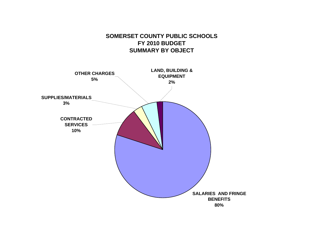## **SOMERSET COUNTY PUBLIC SCHOOLSFY 2010 BUDGET SUMMARY BY OBJECT**

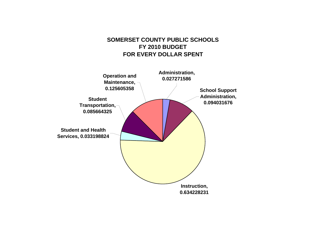### **SOMERSET COUNTY PUBLIC SCHOOLSFY 2010 BUDGETFOR EVERY DOLLAR SPENT**

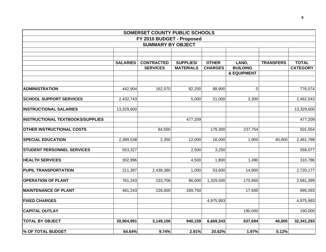|                                         |                 | SOMERSET COUNTY PUBLIC SCHOOLS |                  |                |                        |                  |                 |
|-----------------------------------------|-----------------|--------------------------------|------------------|----------------|------------------------|------------------|-----------------|
|                                         |                 | FY 2010 BUDGET - Proposed      |                  |                |                        |                  |                 |
|                                         |                 | <b>SUMMARY BY OBJECT</b>       |                  |                |                        |                  |                 |
|                                         |                 |                                |                  |                |                        |                  |                 |
|                                         |                 |                                |                  |                |                        |                  |                 |
|                                         | <b>SALARIES</b> | <b>CONTRACTED</b>              | <b>SUPPLIES/</b> | <b>OTHER</b>   | LAND,                  | <b>TRANSFERS</b> | <b>TOTAL</b>    |
|                                         |                 | <b>SERVICES</b>                | <b>MATERIALS</b> | <b>CHARGES</b> | <b>BUILDING</b>        |                  | <b>CATEGORY</b> |
|                                         |                 |                                |                  |                | <b>&amp; EQUIPMENT</b> |                  |                 |
| <b>ADMINISTRATION</b>                   | 442,904         | 162,570                        | 82,200           | 88,900         | 0                      |                  | 776,574         |
|                                         |                 |                                |                  |                |                        |                  |                 |
| <b>SCHOOL SUPPORT SERVICES</b>          | 2,432,743       |                                | 5,000            | 21,000         | 3,300                  |                  | 2,462,043       |
| <b>INSTRUCTIONAL SALARIES</b>           | 13,329,600      |                                |                  |                |                        |                  | 13,329,600      |
| <b>INSTRUCTIONAL TEXTBOOKS/SUPPLIES</b> |                 |                                | 477,209          |                |                        |                  | 477,209         |
| <b>OTHER INSTRUCTIONAL COSTS</b>        |                 | 84,500                         |                  | 179,300        | 237,754                |                  | 501,554         |
| <b>SPECIAL EDUCATION</b>                | 2,389,538       | 2,350                          | 12,000           | 16,000         | 1,900                  | 40,000           | 2,461,788       |
| <b>STUDENT PERSONNEL SERVICES</b>       | 553,327         |                                | 2,500            | 3,250          |                        |                  | 559,077         |
| <b>HEALTH SERVICES</b>                  | 302,996         |                                | 4,500            | 1,800          | 1,490                  |                  | 310,786         |
| <b>PUPIL TRANSPORTATION</b>             | 211,397         | 2,439,380                      | 1,000            | 53,600         | 14,800                 |                  | 2,720,177       |
| <b>OPERATION OF PLANT</b>               | 761,243         | 233,706                        | 86,000           | 1,329,500      | 170,950                |                  | 2,581,399       |
| <b>MAINTENANCE OF PLANT</b>             | 481,243         | 226,600                        | 269,750          |                | 17,500                 |                  | 995,093         |
| <b>FIXED CHARGES</b>                    |                 |                                |                  | 4,975,993      |                        |                  | 4,975,993       |
| <b>CAPITAL OUTLAY</b>                   |                 |                                |                  |                | 190,000                |                  | 190,000         |
| <b>TOTAL BY OBJECT</b>                  | 20,904,991      | 3,149,106                      | 940,159          | 6,669,343      | 637,694                | 40,000           | 32,341,293      |
| % OF TOTAL BUDGET                       | 64.64%          | 9.74%                          | 2.91%            | 20.62%         | 1.97%                  | 0.12%            |                 |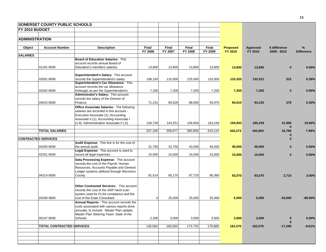|                       | <b>SOMERSET COUNTY PUBLIC SCHOOLS</b> |                                                                             |          |              |         |         |                 |          |               |                   |
|-----------------------|---------------------------------------|-----------------------------------------------------------------------------|----------|--------------|---------|---------|-----------------|----------|---------------|-------------------|
| FY 2010 BUDGET        |                                       |                                                                             |          |              |         |         |                 |          |               |                   |
|                       |                                       |                                                                             |          |              |         |         |                 |          |               |                   |
| <b>ADMINISTRATION</b> |                                       |                                                                             |          |              |         |         |                 |          |               |                   |
|                       |                                       |                                                                             |          |              |         |         |                 |          |               |                   |
| Object                | <b>Account Number</b>                 | <b>Description</b>                                                          | Final    | <b>Final</b> | Final   | Final   | <b>Proposed</b> | Approved | \$ difference | %                 |
|                       |                                       |                                                                             | FY 2006  | FY 2007      | FY 2008 | FY 2009 | FY 2010         | FY 2010  | 2009 - 2010   | <b>Difference</b> |
| <b>SALARIES</b>       |                                       |                                                                             |          |              |         |         |                 |          |               |                   |
|                       |                                       | <b>Board of Education Salaries: This</b><br>account records annual Board of |          |              |         |         |                 |          |               |                   |
|                       | 011918000                             | Education's members salaries.                                               | 13,800   | 13,800       | 13,800  | 13,800  | 13,800          | 13,800   | $\bf{0}$      | 0.00%             |
|                       |                                       |                                                                             |          |              |         |         |                 |          |               |                   |
|                       |                                       | <b>Superintendent's Salary: This account</b>                                |          |              |         |         |                 |          |               |                   |
|                       | 02001 8000                            | records the Superintendent's salary                                         | 108,150  | 115,000      | 125,000 | 132,000 | 133,320         | 132,512  | 512           | 0.39%             |
|                       |                                       | Superintendent's Car Allowance: This                                        |          |              |         |         |                 |          |               |                   |
|                       |                                       | account records the car allowance                                           |          |              |         |         |                 |          |               |                   |
|                       | 02002 8000                            | (mileage) as per the Superintendent's                                       | 7,200    | 7,200        | 7,200   | 7,200   | 7,200           | 7,200    | $\bf{0}$      | 0.00%             |
|                       |                                       | Adminstrator's Salary: This account                                         |          |              |         |         |                 |          |               |                   |
|                       |                                       | records the salary of the Director of                                       |          |              |         |         |                 |          |               |                   |
|                       | 04010 8000                            | Finance.                                                                    | 71,231   | 80,626       | 88,000  | 93,875  | 94,010          | 94,153   | 278           | 0.30%             |
|                       |                                       | Office Associate Salaries: The following                                    |          |              |         |         |                 |          |               |                   |
|                       |                                       | salaries are recorded in this account -                                     |          |              |         |         |                 |          |               |                   |
|                       |                                       | Executive Associate (1); Accounting                                         |          |              |         |         |                 |          |               |                   |
|                       |                                       | Associate II (1); Accounting Associate I                                    |          |              |         |         |                 |          |               |                   |
|                       |                                       | (1.8); Admininstrative Associate II (.5)                                    | 126,728  | 143,251      | 156,659 | 163,249 | 194,943         | 195,239  | 31,990        | 19.60%            |
|                       |                                       |                                                                             |          |              |         |         |                 |          | $\Omega$      |                   |
|                       | <b>TOTAL SALARIES</b>                 |                                                                             | 327,109  | 359,877      | 390,659 | 410,124 | 443,273         | 442,904  | 32,780        | 7.99%             |
|                       | <b>CONTRACTED SERVICES</b>            |                                                                             |          |              |         |         |                 |          | 0<br>$\Omega$ |                   |
|                       |                                       | Audit Expense: This line is for the cost of                                 |          |              |         |         |                 |          |               |                   |
|                       | 04200 8000                            | the annual audit.                                                           | 31,750   | 32,750       | 43,000  | 46,500  | 46,500          | 46,500   | $\bf{0}$      | 0.00%             |
|                       |                                       | Legal Expense: This account is used to                                      |          |              |         |         |                 |          |               |                   |
|                       | 02201 8000                            | record all legal expenses.                                                  | 15,000   | 15,000       | 15,000  | 15,000  | 15,000          | 15,000   | $\bf{0}$      | 0.00%             |
|                       |                                       | Data Processing Expense: This account                                       |          |              |         |         |                 |          |               |                   |
|                       |                                       | records the cost of the Payroll, Human                                      |          |              |         |         |                 |          |               |                   |
|                       |                                       | Resources, Accounts Payable and General                                     |          |              |         |         |                 |          |               |                   |
|                       |                                       | Ledger systems utililized through Wicomico                                  |          |              |         |         |                 |          |               |                   |
|                       | 04214 8000                            | County.                                                                     | 81,514   | 85,170       | 87,725  | 90,360  | 93,070          | 93,070   | 2,710         | 3.00%             |
|                       |                                       |                                                                             |          |              |         |         |                 |          |               |                   |
|                       |                                       |                                                                             |          |              |         |         |                 |          |               |                   |
|                       |                                       | Other Contracted Services: This account                                     |          |              |         |         |                 |          |               |                   |
|                       |                                       | records the cost of the ADP hand scan                                       |          |              |         |         |                 |          |               |                   |
|                       |                                       | system used for FLSA compliance and the                                     |          |              |         |         |                 |          |               |                   |
|                       | 04299 9800                            | cost of the Erate Consultant.                                               | $\Omega$ | 25,000       | 25,000  | 25,000  | 5,000           | 5,000    | $-20,000$     | $-80.00\%$        |
|                       |                                       | Annual Reports - This account records the                                   |          |              |         |         |                 |          |               |                   |
|                       |                                       | costs associated with various reports done                                  |          |              |         |         |                 |          |               |                   |
|                       |                                       | annually, to include: Master Plan update;                                   |          |              |         |         |                 |          |               |                   |
|                       |                                       | Master Plan Steering Team; State of the                                     |          |              |         |         |                 |          |               |                   |
|                       | 05247 8000                            | Schools.                                                                    | 2,300    | 3,000        | 3,000   | 3,000   | 3,000           | 3,000    | $\bf{0}$      | 0.00%             |
|                       | <b>TOTAL CONTRACTED SERVICES</b>      |                                                                             | 130,564  | 160,920      | 173,725 | 179,860 | 162,570         | 162,570  | $-17,290$     | $-9.61%$          |
|                       |                                       |                                                                             |          |              |         |         |                 |          |               |                   |
|                       |                                       |                                                                             |          |              |         |         |                 |          |               |                   |
|                       |                                       |                                                                             |          |              |         |         |                 |          |               |                   |
|                       |                                       |                                                                             |          |              |         |         |                 |          |               |                   |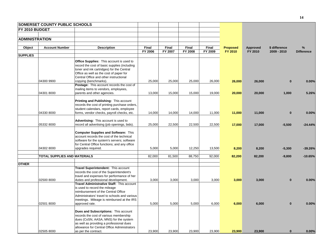|                       | <b>SOMERSET COUNTY PUBLIC SCHOOLS</b> |                                                                                                                                                                                                                                   |         |         |         |         |                 |          |               |                   |
|-----------------------|---------------------------------------|-----------------------------------------------------------------------------------------------------------------------------------------------------------------------------------------------------------------------------------|---------|---------|---------|---------|-----------------|----------|---------------|-------------------|
| <b>FY 2010 BUDGET</b> |                                       |                                                                                                                                                                                                                                   |         |         |         |         |                 |          |               |                   |
| <b>ADMINISTRATION</b> |                                       |                                                                                                                                                                                                                                   |         |         |         |         |                 |          |               |                   |
| Object                | <b>Account Number</b>                 | <b>Description</b>                                                                                                                                                                                                                | Final   | Final   | Final   | Final   | <b>Proposed</b> | Approved | \$ difference | %                 |
|                       |                                       |                                                                                                                                                                                                                                   | FY 2006 | FY 2007 | FY 2008 | FY 2009 | FY 2010         | FY 2010  | $2009 - 2010$ | <b>Difference</b> |
| <b>SUPPLIES</b>       |                                       |                                                                                                                                                                                                                                   |         |         |         |         |                 |          |               |                   |
|                       |                                       | <b>Office Supplies:</b> This account is used to<br>record the cost of basic supplies (including<br>toner and ink cartridges) for the Central<br>Office as well as the cost of paper for<br>Central Office and other instructional |         |         |         |         |                 |          |               |                   |
|                       | 04300 9900                            | copying (benchmarks).                                                                                                                                                                                                             | 25,000  | 25,000  | 25,000  | 26,000  | 26,000          | 26,000   | $\mathbf{0}$  | 0.00%             |
|                       |                                       | Postage: This account records the cost of                                                                                                                                                                                         |         |         |         |         |                 |          |               |                   |
|                       |                                       | mailing items to vendors, employees,                                                                                                                                                                                              |         |         |         |         |                 |          |               |                   |
|                       | 04301 8000                            | parents and other agencies.                                                                                                                                                                                                       | 13,000  | 15,000  | 15,000  | 19,000  | 20,000          | 20,000   | 1,000         | 5.26%             |
|                       |                                       | Printing and Publishing: This account<br>records the cost of printing purchase orders,<br>student calendars, report cards, employee                                                                                               |         |         |         |         |                 |          |               |                   |
|                       | 04330 8000                            | forms, vendor checks, payroll checks, etc.                                                                                                                                                                                        | 14,000  | 14,000  | 14,000  | 11,000  | 11,000          | 11,000   | $\bf{0}$      | 0.00%             |
|                       | 05332 8000                            | Advertising: This account is used to<br>record all advertising (job openings, bids).                                                                                                                                              | 25,000  | 22,500  | 22,500  | 22,500  | 17,000          | 17,000   | $-5,500$      | $-24.44%$         |
|                       | 04302 8000                            | <b>Computer Supplies and Software: This</b><br>account records the cost of the technical<br>software for the system's servers; software<br>for Central Office functions; and any office                                           | 5,000   | 5,000   | 12,250  |         |                 |          |               | $-39.26%$         |
|                       |                                       | upgrades required.                                                                                                                                                                                                                |         |         |         | 13,500  | 8,200           | 8,200    | $-5,300$      |                   |
|                       | <b>TOTAL SUPPLIES AND MATERIALS</b>   |                                                                                                                                                                                                                                   | 82,000  | 81,500  | 88,750  | 92,000  | 82,200          | 82,200   | $-9,800$      | $-10.65%$         |
|                       |                                       |                                                                                                                                                                                                                                   |         |         |         |         |                 |          |               |                   |
| <b>OTHER</b>          |                                       |                                                                                                                                                                                                                                   |         |         |         |         |                 |          |               |                   |
|                       |                                       | Travel Superintendent: This account<br>records the cost of the Superintendent's<br>travel and expenses for performance of her                                                                                                     |         |         |         |         |                 |          |               |                   |
|                       | 02500 8000                            | duties and professional development.                                                                                                                                                                                              | 3,000   | 3,000   | 3,000   | 3,000   | 3,000           | 3,000    | $\bf{0}$      | 0.00%             |
|                       |                                       | Travel Administrative Staff: This account<br>is used to record the mileage<br>reimbursement of the Central Office<br>Administrators' travel to schools and various<br>meetings. Mileage is reimbursed at the IRS                  |         |         |         |         |                 |          |               |                   |
|                       | 02501 8000                            | approved rate.                                                                                                                                                                                                                    | 5,000   | 5,000   | 5,000   | 6,000   | 6,000           | 6,000    | $\mathbf{0}$  | 0.00%             |
|                       |                                       | Dues and Subscriptions: This account<br>records the cost of various membership<br>dues (CoSN, AASA, MNS) for the system<br>as well as providing a professional dues<br>allowance for Central Office Administrators                |         |         |         |         |                 |          |               |                   |
|                       | 02505 8000                            | as per the contract.                                                                                                                                                                                                              | 23,900  | 23,900  | 23,900  | 23,900  | 23,900          | 23,900   | $\mathbf{0}$  | 0.00%             |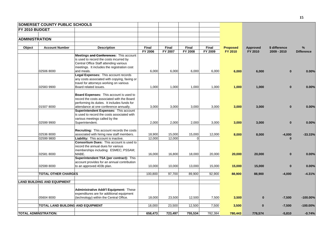|                       | <b>SOMERSET COUNTY PUBLIC SCHOOLS</b> |                                                                                        |         |         |                |         |                 |          |               |                   |
|-----------------------|---------------------------------------|----------------------------------------------------------------------------------------|---------|---------|----------------|---------|-----------------|----------|---------------|-------------------|
| FY 2010 BUDGET        |                                       |                                                                                        |         |         |                |         |                 |          |               |                   |
|                       |                                       |                                                                                        |         |         |                |         |                 |          |               |                   |
| <b>ADMINISTRATION</b> |                                       |                                                                                        |         |         |                |         |                 |          |               |                   |
|                       |                                       |                                                                                        |         |         |                |         |                 |          |               |                   |
| Object                | <b>Account Number</b>                 | <b>Description</b>                                                                     | Final   | Final   | Final          | Final   | <b>Proposed</b> | Approved | \$ difference | $\frac{9}{6}$     |
|                       |                                       |                                                                                        | FY 2006 | FY 2007 | <b>FY 2008</b> | FY 2009 | FY 2010         | FY 2010  | 2009 - 2010   | <b>Difference</b> |
|                       |                                       | Meetings and Conferences: This account                                                 |         |         |                |         |                 |          |               |                   |
|                       |                                       | is used to record the costs incurred by                                                |         |         |                |         |                 |          |               |                   |
|                       |                                       | Central Office Staff attending various                                                 |         |         |                |         |                 |          |               |                   |
|                       |                                       | meetings. It includes the registration cost                                            |         |         |                |         |                 |          |               |                   |
|                       | 02506 8000                            | and meals.                                                                             | 6,000   | 6,000   | 6,000          | 6,000   | 6,000           | 6,000    | $\mathbf{0}$  | 0.00%             |
|                       |                                       | Legal Expenses: This account records                                                   |         |         |                |         |                 |          |               |                   |
|                       |                                       | any costs associated with copying, faxing or                                           |         |         |                |         |                 |          |               |                   |
|                       |                                       | travel for attorneys working on various                                                |         |         |                |         |                 |          |               |                   |
|                       | 02583 9900                            | Board related issues.                                                                  | 1,000   | 1,000   | 1,000          | 1,000   | 1,000           | 1,000    | $\bf{0}$      | 0.00%             |
|                       |                                       |                                                                                        |         |         |                |         |                 |          |               |                   |
|                       |                                       | Board Expenses: This account is used to<br>record the costs associated with the Board  |         |         |                |         |                 |          |               |                   |
|                       |                                       |                                                                                        |         |         |                |         |                 |          |               |                   |
|                       | 015078000                             | performing its duties. It includes funds for<br>attendance at one conference annually. | 3,000   | 3,000   | 3,000          | 3,000   |                 |          | $\mathbf{0}$  | 0.00%             |
|                       |                                       | Superintendent Expenses: This account                                                  |         |         |                |         | 3,000           | 3,000    |               |                   |
|                       |                                       | is used to record the costs associated with                                            |         |         |                |         |                 |          |               |                   |
|                       |                                       | various meetings called by the                                                         |         |         |                |         |                 |          |               |                   |
|                       | 02599 9900                            | Superintendent.                                                                        | 2,000   | 2,000   | 2,000          | 3,000   | 3,000           | 3,000    | $\bf{0}$      | 0.00%             |
|                       |                                       |                                                                                        |         |         |                |         |                 |          |               |                   |
|                       |                                       | Recruiting: This account records the costs                                             |         |         |                |         |                 |          |               |                   |
|                       | 02536 8000                            | associated with hiring new staff members.                                              | 18,900  | 15,000  | 15,000         | 12,000  | 8,000           | 8,000    | $-4,000$      | $-33.33%$         |
|                       | 02599 9800                            | Liability: This account is inactive.                                                   | 12,000  | 12,000  | $\Omega$       |         |                 |          | ŋ             |                   |
|                       |                                       | <b>Consortium Dues:</b> This account is used to                                        |         |         |                |         |                 |          |               |                   |
|                       |                                       | record the annual dues for various                                                     |         |         |                |         |                 |          |               |                   |
|                       |                                       | memberships including: ESMEC; PSSAM;                                                   |         |         |                |         |                 |          |               |                   |
|                       | 025818000                             | MABE.                                                                                  | 16,000  | 16,800  | 18,000         | 20,000  | 20,000          | 20,000   | $\bf{0}$      | 0.00%             |
|                       |                                       | Superintendent TSA (per contract): This                                                |         |         |                |         |                 |          |               |                   |
|                       |                                       | account provides for an annual contribution                                            |         |         |                |         |                 |          |               |                   |
|                       | 02599 8000                            | to an approved 403b plan.                                                              | 10,000  | 10,000  | 13,000         | 15,000  | 15,000          | 15,000   | $\bf{0}$      | 0.00%             |
|                       |                                       |                                                                                        |         |         |                |         |                 |          |               |                   |
|                       | <b>TOTAL OTHER CHARGES</b>            |                                                                                        | 100,800 | 97,700  | 89,900         | 92,900  | 88,900          | 88,900   | $-4,000$      | $-4.31%$          |
|                       |                                       |                                                                                        |         |         |                |         |                 |          |               |                   |
|                       | <b>LAND BUILDING AND EQUIPMENT</b>    |                                                                                        |         |         |                |         |                 |          |               |                   |
|                       |                                       |                                                                                        |         |         |                |         |                 |          |               |                   |
|                       |                                       | <b>Administrative Addt'l Equipment: These</b>                                          |         |         |                |         |                 |          |               |                   |
|                       |                                       | expenditures are for additional equipment                                              |         |         |                |         |                 |          |               |                   |
|                       | 05604 8000                            | (technology) within the Central Office.                                                | 18,000  | 23,500  | 12,500         | 7,500   | 3,500           | $\bf{0}$ | $-7,500$      | $-100.00%$        |
|                       |                                       |                                                                                        |         |         |                |         |                 |          |               |                   |
|                       | TOTAL LAND BUILDING AND EQUIPMENT     |                                                                                        | 18,000  | 23,500  | 12,500         | 7,500   | 3,500           | $\bf{0}$ | $-7,500$      | $-100.00\%$       |
|                       |                                       |                                                                                        |         |         |                |         |                 |          |               |                   |
|                       | <b>TOTAL ADMINSTRATION:</b>           |                                                                                        | 658,473 | 723,497 | 755,534        | 782,384 | 780,443         | 776.574  | $-5,810$      | $-0.74%$          |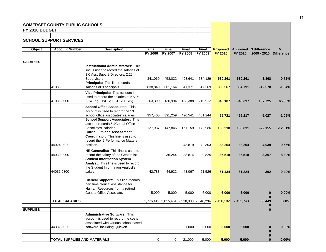|                       | <b>SOMERSET COUNTY PUBLIC SCHOOLS</b> |                                                                           |                |             |         |                                         |                 |           |                        |                   |
|-----------------------|---------------------------------------|---------------------------------------------------------------------------|----------------|-------------|---------|-----------------------------------------|-----------------|-----------|------------------------|-------------------|
| <b>FY 2010 BUDGET</b> |                                       |                                                                           |                |             |         |                                         |                 |           |                        |                   |
|                       |                                       |                                                                           |                |             |         |                                         |                 |           |                        |                   |
|                       | <b>SCHOOL SUPPORT SERVICES</b>        |                                                                           |                |             |         |                                         |                 |           |                        |                   |
|                       |                                       |                                                                           |                |             |         |                                         |                 |           |                        |                   |
| Object                | <b>Account Number</b>                 | <b>Description</b>                                                        | Final          | Final       | Final   | Final                                   | <b>Proposed</b> |           | Approved \$ difference | %                 |
|                       |                                       |                                                                           | FY 2006        | FY 2007     | FY 2008 | FY 2009                                 | <b>FY 2010</b>  | FY 2010   | 2009 - 2010            | <b>Difference</b> |
| <b>SALARIES</b>       |                                       |                                                                           |                |             |         |                                         |                 |           |                        |                   |
|                       |                                       | <b>Instructional Administrators: This</b>                                 |                |             |         |                                         |                 |           |                        |                   |
|                       |                                       | line is used to record the salaries of                                    |                |             |         |                                         |                 |           |                        |                   |
|                       |                                       | 1.0 Asst Supt; 2 Directors; 2.25                                          |                |             |         |                                         |                 |           |                        |                   |
|                       |                                       | Supervisors.                                                              | 341,069        | 458,032     | 498,641 | 534,129                                 | 530,261         | 530,261   | $-3,868$               | $-0.72%$          |
|                       |                                       | Principals: This line records the                                         |                |             |         |                                         |                 |           |                        |                   |
|                       | 41035                                 | salaries of 9 principals.                                                 | 838,840        | 801,164     | 841,371 | 817,369                                 | 803,567         | 804,791   | $-12,578$              | $-1.54%$          |
|                       |                                       | Vice Principals: This account is                                          |                |             |         |                                         |                 |           |                        |                   |
|                       |                                       | used to record the salaries of 5 VPs                                      |                |             |         |                                         |                 |           |                        |                   |
|                       | 41036 5000                            | (2 WES; 1 WHS; 1 CHS; 1 SIS).                                             | 63,390         | 130,994     | 153,388 | 210,912                                 | 348,107         | 348,637   | 137,725                | 65.30%            |
|                       |                                       | <b>School Office Associates: This</b>                                     |                |             |         |                                         |                 |           |                        |                   |
|                       |                                       | account is used to record the 13                                          |                |             |         |                                         |                 |           |                        |                   |
|                       |                                       | school office associates' salaries.                                       | 357,400        | 391,259     | 420,541 | 461,244                                 | 455,721         | 456,217   | $-5,027$               | $-1.09%$          |
|                       |                                       | <b>School Support Associates: This</b>                                    |                |             |         |                                         |                 |           |                        |                   |
|                       |                                       | account records 5 4 Cental Office                                         |                |             |         |                                         |                 |           |                        |                   |
|                       |                                       | Associates' salaries.<br><b>Curriculum and Assessment</b>                 | 127,937        | 147,846     | 161,159 | 172,986                                 | 150,310         | 150,831   | $-22,155$              | $-12.81%$         |
|                       |                                       | <b>Coordinator:</b> This line is used to                                  |                |             |         |                                         |                 |           |                        |                   |
|                       |                                       | record the .5 Performance Matters                                         |                |             |         |                                         |                 |           |                        |                   |
|                       | 44024-9800                            | position.                                                                 |                |             | 43,819  | 42,303                                  | 38,264          | 38,264    | $-4,039$               | $-9.55%$          |
|                       |                                       |                                                                           |                |             |         |                                         |                 |           |                        |                   |
|                       | 44030 9900                            | HR Generalist: This line is used to                                       |                |             |         |                                         |                 |           |                        |                   |
|                       |                                       | record the salary of the Generalist.<br><b>Student Information System</b> |                | 36,244      | 38,814  | 39,825                                  | 36,518          | 36,518    | $-3,307$               | $-8.30%$          |
|                       |                                       | Analyst: This line is used to record                                      |                |             |         |                                         |                 |           |                        |                   |
|                       |                                       | the Student Information Analyst's                                         |                |             |         |                                         |                 |           |                        |                   |
|                       | 44031 9800                            | salary.                                                                   | 42,783         | 44,922      | 48,067  | 61,526                                  | 61,434          | 61,224    | $-302$                 | $-0.49%$          |
|                       |                                       |                                                                           |                |             |         |                                         |                 |           |                        |                   |
|                       |                                       | Clerical Support: This line records                                       |                |             |         |                                         |                 |           |                        |                   |
|                       |                                       | part time clerical assistance for                                         |                |             |         |                                         |                 |           |                        |                   |
|                       |                                       | Human Resources from a retired                                            |                |             |         |                                         |                 |           |                        |                   |
|                       |                                       | Central Office Associate.                                                 | 5,000          | 5,000       | 5,000   | 6,000                                   | 6,000           | 6,000     | $\bf{0}$               | 0.00%             |
|                       | <b>TOTAL SALARIES</b>                 |                                                                           |                |             |         | 1,776,419 2,015,461 2,210,800 2,346,294 | 2,430,182       | 2,432,743 | $\bf{0}$<br>86,449     | 3.68%             |
|                       |                                       |                                                                           |                |             |         |                                         |                 |           | $\bf{0}$               |                   |
| <b>SUPPLIES</b>       |                                       |                                                                           |                |             |         |                                         |                 |           | $\bf{0}$               |                   |
|                       |                                       | <b>Administrative Software: This</b>                                      |                |             |         |                                         |                 |           |                        |                   |
|                       |                                       | account is used to record the costs                                       |                |             |         |                                         |                 |           |                        |                   |
|                       |                                       | associated with various school based                                      |                |             |         |                                         |                 |           |                        |                   |
|                       | 44382-9800                            | software, including Quicken.                                              |                |             | 21,000  | 5,000                                   | 5,000           | 5,000     | $\bf{0}$               | 0.00%             |
|                       |                                       |                                                                           |                |             |         |                                         |                 |           | $\bf{0}$<br>$\bf{0}$   |                   |
|                       | <b>TOTAL SUPPLIES AND MATERIALS</b>   |                                                                           | $\overline{0}$ | $\mathbf 0$ | 21,000  | 5,000                                   | 5,000           | 5,000     | $\bf{0}$               | 0.00%             |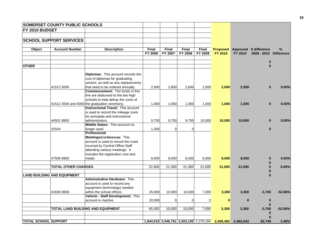|                             | <b>SOMERSET COUNTY PUBLIC SCHOOLS</b> |                                              |              |             |                |              |                                                   |              |                          |           |
|-----------------------------|---------------------------------------|----------------------------------------------|--------------|-------------|----------------|--------------|---------------------------------------------------|--------------|--------------------------|-----------|
| FY 2010 BUDGET              |                                       |                                              |              |             |                |              |                                                   |              |                          |           |
|                             |                                       |                                              |              |             |                |              |                                                   |              |                          |           |
|                             | <b>SCHOOL SUPPORT SERVICES</b>        |                                              |              |             |                |              |                                                   |              |                          |           |
|                             |                                       |                                              |              |             |                |              |                                                   |              |                          |           |
| Object                      | <b>Account Number</b>                 | <b>Description</b>                           | <b>Final</b> | Final       | <b>Final</b>   | <b>Final</b> | <b>Proposed</b>                                   |              | Approved \$ difference   | $\%$      |
|                             |                                       |                                              | FY 2006      | FY 2007     | <b>FY 2008</b> | FY 2009      | <b>FY 2010</b>                                    | FY 2010      | 2009 - 2010 Difference   |           |
|                             |                                       |                                              |              |             |                |              |                                                   |              |                          |           |
| <b>OTHER</b>                |                                       |                                              |              |             |                |              |                                                   |              | $\bf{0}$<br>$\Omega$     |           |
|                             |                                       |                                              |              |             |                |              |                                                   |              |                          |           |
|                             |                                       | <b>Diplomas:</b> This account records the    |              |             |                |              |                                                   |              |                          |           |
|                             |                                       | cost of diplomas for graduating              |              |             |                |              |                                                   |              |                          |           |
|                             |                                       | seniors, as well as any replacements         |              |             |                |              |                                                   |              |                          |           |
|                             | 41512 5000                            | that need to be ordered annually.            | 2,600        | 2,600       | 2,600          | 2,000        | 2,000                                             | 2,000        | $\bf{0}$                 | 0.00%     |
|                             |                                       | <b>Commencement:</b> The funds in this       |              |             |                |              |                                                   |              |                          |           |
|                             |                                       | line are disbursed to the two high           |              |             |                |              |                                                   |              |                          |           |
|                             |                                       | schools to help defray the costs of          |              |             |                |              |                                                   |              |                          |           |
|                             |                                       | 41512 3500 and 4000 the graduation ceremony. | 1,000        | 1,000       | 1,000          | 1,000        | 1,000                                             | 1.000        | $\bf{0}$                 | 0.00%     |
|                             |                                       | <b>Instructional Travel: This account</b>    |              |             |                |              |                                                   |              |                          |           |
|                             |                                       | is used to record the mileage costs          |              |             |                |              |                                                   |              |                          |           |
|                             |                                       | for principals and instructional             |              |             |                |              |                                                   |              |                          |           |
|                             | 44501 9800                            | administrators.                              | 9,700        | 9,700       | 9,700          | 10,000       | 10,000                                            | 10,000       | $\bf{0}$                 | 0.00%     |
|                             |                                       | Middle States: This account no               |              |             |                |              |                                                   |              |                          |           |
|                             | 32544                                 | longer used.<br>Professional                 | 1,300        | $\mathbf 0$ | $\mathbf 0$    |              |                                                   |              | $\mathbf{0}$             |           |
|                             |                                       | Meetings/Conferences: This                   |              |             |                |              |                                                   |              |                          |           |
|                             |                                       | account is used to record the costs          |              |             |                |              |                                                   |              |                          |           |
|                             |                                       | incurred by Central Office Staff             |              |             |                |              |                                                   |              |                          |           |
|                             |                                       | attending various meetings. It               |              |             |                |              |                                                   |              |                          |           |
|                             |                                       | includes the registration cost and           |              |             |                |              |                                                   |              |                          |           |
|                             | 47506 9800                            | meals.                                       | 8,000        | 8,000       | 8,000          | 8,000        | 8,000                                             | 8,000        | $\bf{0}$                 | 0.00%     |
|                             |                                       |                                              |              |             |                |              |                                                   |              |                          |           |
|                             | <b>TOTAL OTHER CHARGES</b>            |                                              | 22,600       | 21,300      | 21,300         | 21,000       | 21,000                                            | 21,000       | $\bf{0}$                 | 0.00%     |
|                             |                                       |                                              |              |             |                |              |                                                   |              |                          |           |
|                             | <b>LAND BUILDING AND EQUIPMENT</b>    |                                              |              |             |                |              |                                                   |              | $\bf{0}$                 |           |
|                             |                                       | <b>Adminstrative Hardware: This</b>          |              |             |                |              |                                                   |              |                          |           |
|                             |                                       | account is used to record any                |              |             |                |              |                                                   |              |                          |           |
|                             |                                       | equipment (technology) needed                |              |             |                |              |                                                   |              |                          |           |
|                             | 41636 9800                            | within the school offices.                   | 25,000       | 10,000      | 10,000         | 7,000        | 3,300                                             | 3,300        | $-3,700$                 | $-52.86%$ |
|                             |                                       | Vehicle - Staff Development: This            |              |             |                |              |                                                   |              |                          |           |
|                             |                                       | account is inactive.                         | 20,000       | $\mathbf 0$ | $\Omega$       | 0            | $\mathbf{0}$                                      | $\mathbf{0}$ | $\bf{0}$<br>$\mathbf{0}$ |           |
|                             |                                       | TOTAL LAND BUILDING AND EQUIPMENT            | 45,000       | 10,000      | 10,000         | 7,000        | 3,300                                             | 3,300        | $-3,700$                 | $-52.86%$ |
|                             |                                       |                                              |              |             |                |              |                                                   |              | $\bf{0}$                 |           |
|                             |                                       |                                              |              |             |                |              |                                                   |              | $\bf{0}$                 |           |
| <b>TOTAL SCHOOL SUPPORT</b> |                                       |                                              |              |             |                |              | 1,844,019 2,046,761 2,263,100 2,379,294 2,459,482 | 2.462.043    | 82.749                   | 3.48%     |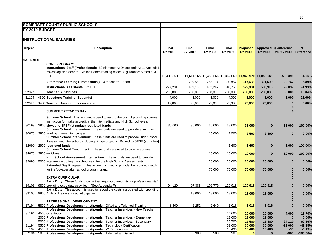|                 | <b>SOMERSET COUNTY PUBLIC SCHOOLS</b>                                                                                                                                         |              |              |                                                        |                  |                  |                  |                        |                    |
|-----------------|-------------------------------------------------------------------------------------------------------------------------------------------------------------------------------|--------------|--------------|--------------------------------------------------------|------------------|------------------|------------------|------------------------|--------------------|
| FY 2010 BUDGET  |                                                                                                                                                                               |              |              |                                                        |                  |                  |                  |                        |                    |
|                 |                                                                                                                                                                               |              |              |                                                        |                  |                  |                  |                        |                    |
|                 | <b>INSTRUCTIONAL SALARIES</b>                                                                                                                                                 |              |              |                                                        |                  |                  |                  |                        |                    |
|                 |                                                                                                                                                                               |              |              |                                                        |                  |                  |                  |                        |                    |
| Object          | <b>Description</b>                                                                                                                                                            | <b>Final</b> | <b>Final</b> | <b>Final</b>                                           | <b>Final</b>     | <b>Proposed</b>  |                  | Approved \$ difference | %                  |
|                 |                                                                                                                                                                               | FY 2006      | FY 2007      | FY 2008                                                | FY 2009          | FY 2010          | FY 2010          | 2009 - 2010 Difference |                    |
| <b>SALARIES</b> |                                                                                                                                                                               |              |              |                                                        |                  |                  |                  |                        |                    |
|                 | <b>CORE PROGRAM:</b>                                                                                                                                                          |              |              |                                                        |                  |                  |                  |                        |                    |
|                 | Instructional Staff (Professional): 82 elementary; 94 secondary; 11 voc ed; 1<br>psychologist; 5 deans; 7.75 facilitators/reading coach; 8 guidance; 6 media; 3<br><b>ELL</b> | 10,435,358   |              | 11,614,165 12,452,666 12,362,060 11,940,970 11,859,661 |                  |                  |                  | -502,399               | -4.06%             |
|                 |                                                                                                                                                                               |              |              |                                                        |                  |                  |                  |                        |                    |
|                 | Alternative Learning (Professional): 4 teachers; 1 dean                                                                                                                       |              | 239,550      | 255,194                                                | 300,867          | 317,638          | 321,609          | 20,742                 | 6.89%              |
|                 | <b>Instructional Assistants: 22 FTE</b>                                                                                                                                       | 227,231      | 409,166      | 462,247                                                | 510,753          | 522,901          | 500,916          | $-9,837$               | $-1.93%$           |
| 32077           | <b>Teacher Substitutes</b>                                                                                                                                                    | 200,000      | 230,000      | 230,000                                                | 230,000          | 260,000          | 260,000          | 30,000                 | 13.04%             |
| 31194           | 4500 Substitute Training (Stipends)                                                                                                                                           | 4,000        | 4,000        | 4,000                                                  | 4,000            | 3,000            | 3,000            | $-1,000$               | $-25.00%$          |
| 32042           | 8900 Teacher Hombound/Incarcerated                                                                                                                                            | 19,000       | 25,000       | 25,000                                                 | 25,000           | 25,000           | 25,000           | $\mathbf{0}$           | 0.00%              |
|                 |                                                                                                                                                                               |              |              |                                                        |                  |                  |                  | $\Omega$               |                    |
|                 | <b>SUMMER/EXTENDED DAY:</b>                                                                                                                                                   |              |              |                                                        |                  |                  |                  | $\Omega$               |                    |
|                 | <b>Summer School:</b> This account is used to record the cost of providing summer<br>instruction for makeup credit at the Intermediate and High School levels.                |              |              |                                                        |                  |                  |                  |                        |                    |
| 30199           | 2900 Moved to SFSF (stimulus) restricted funds                                                                                                                                | 35,000       | 35,000       | 35,000                                                 | 38,000           | 38,000           | $\bf{0}$         | $-38,000$              | $-100.00%$         |
|                 | Summer School Intervention: These funds are used to provide a summer                                                                                                          |              |              |                                                        |                  |                  |                  |                        |                    |
| 30076           | 2800 reading intervention program.<br>Summer School Intervention: These funds are used to provide High School                                                                 |              |              | 15,000                                                 | 7,500            | 7,500            | 7,500            | $\bf{0}$               | 0.00%              |
| 32090           | Assessment intevention, including Bridge projects. Moved to SFSF (stimulus)<br>2900 restricted funds                                                                          |              |              |                                                        | 5,600            | 5,600            | $\bf{0}$         | $-5,600$               | $-100.00\%$        |
|                 | Summer School Enrichment: These funds are used to provide summer                                                                                                              |              |              |                                                        |                  |                  |                  |                        |                    |
| 34076           | 2800 enrichment.                                                                                                                                                              |              |              | 10,000                                                 | 10,000           | 10,000           | $\bf{0}$         | $-10,000$              | $-100.00%$         |
| 32090           | High School Assessment Intervention: These funds are used to provide<br>5000 intervention during the school year for the High School Assessments.                             |              |              | 20,000                                                 | 20,000           | 20,000           | 20,000           | $\mathbf{0}$           | 0.00%              |
|                 | Extended Day Program: This account is used to provide the required match<br>for the Voyager after school program grant.                                                       |              |              | 70,000                                                 | 70,000           | 70,000           | 70,000           | $\Omega$               | 0.00%              |
|                 |                                                                                                                                                                               |              |              |                                                        |                  |                  |                  | $\bf{0}$               |                    |
|                 | <b>EXTRA CURRICULAR:</b>                                                                                                                                                      |              |              |                                                        |                  |                  |                  | $\bf{0}$               |                    |
|                 | Extra Duty: These funds provide the negotiated amounts for professional staff                                                                                                 |              |              |                                                        |                  |                  |                  |                        |                    |
| 39106           | 9800 providing extra duty activities. (See Appendix F)                                                                                                                        | 94,120       | 97,885       | 102,779                                                | 120,918          | 120,918          | 120,918          | $\Omega$               | 0.00%              |
| 39106           | <b>Extra Duty:</b> This account is used to record the costs associated with providing<br>9800 Athletic Trainers for athletic games.                                           |              | 18,000       | 18,000                                                 | 18,000           | 18,000           | 18,000           | $\bf{0}$               | 0.00%              |
|                 |                                                                                                                                                                               |              |              |                                                        |                  |                  |                  | $\Omega$               |                    |
|                 | <b>PROFESSIONAL DEVELOPMENT:</b>                                                                                                                                              |              |              |                                                        |                  |                  |                  | $\bf{0}$               |                    |
| 37194           | 5800 Professional Development - stipends: Gifted and Talented Training                                                                                                        | 8,400        | 6,252        | 2,640                                                  | 3,016            | 3,016            | 3,016            | $\mathbf{0}$           | 0.00%              |
|                 | Professional Development - stipends: Teacher Inservices - New Teacher                                                                                                         |              |              |                                                        |                  |                  |                  |                        |                    |
| 31194           | 4500 Orientation                                                                                                                                                              |              |              |                                                        | 24,600           | 20,000           | 20,000           | $-4,600$               | $-18.70%$          |
|                 | 2000 Professional Development - stipends: Teacher Inservices - Elementary<br>5000 Professional Development - stipends: Teacher Inservices - Secondary                         |              |              |                                                        | 17,000<br>35,700 | 17,000<br>11,580 | 17,000<br>11,580 | $\bf{0}$<br>$-24,120$  | 0.00%<br>$-67.56%$ |
| 31194           | 5500 Professional Development - stipends: Technology Certification                                                                                                            |              |              |                                                        | 59,000           | 30,000           | 30,000           | $-29,000$              | $-49.15%$          |
| 31199           | 4500 Professional Development - stipends: MSDE coursework                                                                                                                     |              |              |                                                        | 15,430           | 15,400           | 15,400           | $-30$                  | $-0.19%$           |
| 37194           | 5800 Professional Development - stipends: Talented and Gifted                                                                                                                 |              | 900          | 900                                                    | 900              | $\mathbf{0}$     | $\bf{0}$         | $-900$                 | $-100.00%$         |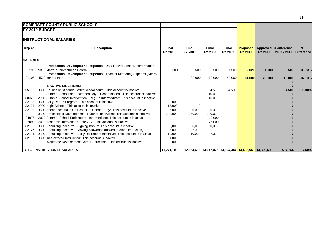|                         | <b>SOMERSET COUNTY PUBLIC SCHOOLS</b>                                                                                                                                                                                                  |                                |                           |                                                        |                         |                                   |                 |                                                  |                        |
|-------------------------|----------------------------------------------------------------------------------------------------------------------------------------------------------------------------------------------------------------------------------------|--------------------------------|---------------------------|--------------------------------------------------------|-------------------------|-----------------------------------|-----------------|--------------------------------------------------|------------------------|
|                         | <b>IFY 2010 BUDGET</b>                                                                                                                                                                                                                 |                                |                           |                                                        |                         |                                   |                 |                                                  |                        |
|                         | <b>INSTRUCTIONAL SALARIES</b>                                                                                                                                                                                                          |                                |                           |                                                        |                         |                                   |                 |                                                  |                        |
| Object                  | <b>Description</b>                                                                                                                                                                                                                     | <b>Final</b><br><b>FY 2006</b> | <b>Final</b><br>FY 2007   | <b>Final</b><br><b>FY 2008</b>                         | <b>Final</b><br>FY 2009 | <b>Proposed</b><br><b>FY 2010</b> | FY 2010         | Approved \$ difference<br>2009 - 2010 Difference | %                      |
| <b>SALARIES</b>         |                                                                                                                                                                                                                                        |                                |                           |                                                        |                         |                                   |                 |                                                  |                        |
| 31199<br>31106          | Professional Development - stipends: Data (Power School, Performance<br>9800 Matters, Promethean Board)<br>Professional Development - stipends: Teacher Mentoring Stipends (\$1675<br>4500 per teacher)                                | 5,000                          | 2,500<br>30,000           | 2,500<br>50,000                                        | 1,500<br>40,000         | 2,020<br>34,000                   | 1,000<br>25,000 | $-500$<br>$-15,000$                              | $-33.33%$<br>$-37.50%$ |
| 55199                   | <b>INACTIVE LINE ITEMS:</b><br>9800 Counselor Stipends - After School hours: This account is inactive.<br>Summer School and Extended Day PT coordination: This account is inactive                                                     |                                |                           | 4,500<br>10,000                                        | 4,500                   | 0                                 | $\bf{0}$        | $-4,500$                                         | $-100.00%$             |
| 30076<br>32193          | 2900 Summer School Intervention - Reg Ed Intermediate: This account is inactive.<br>9800 Early Return Program: This account is inactive.                                                                                               | 23,000                         |                           | 15.000                                                 |                         |                                   |                 |                                                  |                        |
| 32125<br>32180          | 2900 Night School: This account is inactive.<br>9800 Attendance Make Up School - Extended Day: This account is inactive.<br>9800 Professional Development - Teacher Inservices: This account is inactive.                              | 15.000<br>25,000<br>100,000    | 25,000<br>150,000         | 25,000<br>100,000                                      |                         |                                   |                 |                                                  |                        |
| 34076<br>32090          | 2900 Summer School Enrichment - Intermediate: This account is inactive.<br>2000 Academic Intervention - PreK - 7: This account is inactive.                                                                                            |                                |                           | 10,000<br>25,000                                       |                         |                                   |                 |                                                  |                        |
| 32159<br>32177<br>32184 | 9800 Recruiting Incentive - Signing Bonus: This account is inactive.<br>9800 Recruiting Incentive - Moving Allowance (moved to other instruction)<br>9800 Recruiting Incentive - Early Retirement Incentive: This account is inactive. | 35,000<br>5,000<br>10,000      | 35,000<br>2,000<br>10,000 | 60,000<br>$\Omega$<br>7,000                            |                         |                                   |                 |                                                  |                        |
| 32199                   | 9800 Incarcerated Instruction: This account is inactive.<br>Workforce Development/Career Education: This account is inactive.                                                                                                          | 1,000<br>29,000                |                           | $\Omega$                                               |                         |                                   |                 |                                                  |                        |
|                         | <b>TOTAL INSTRUCTIONAL SALARIES</b>                                                                                                                                                                                                    | 11,271,109                     |                           | 12,934,418 14,012,426 13,924,344 13,492,543 13,329,600 |                         |                                   |                 | $-594,744$                                       | $-4.60%$               |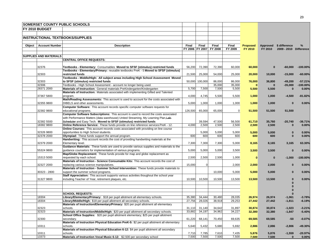|        |                               | <b>SOMERSET COUNTY PUBLIC SCHOOLS</b>                                                                                                                        |         |                 |                  |                  |                    |                    |                        |                         |
|--------|-------------------------------|--------------------------------------------------------------------------------------------------------------------------------------------------------------|---------|-----------------|------------------|------------------|--------------------|--------------------|------------------------|-------------------------|
|        | FY 2010 BUDGET                |                                                                                                                                                              |         |                 |                  |                  |                    |                    |                        |                         |
|        |                               |                                                                                                                                                              |         |                 |                  |                  |                    |                    |                        |                         |
|        |                               | <b>INSTRUCTIONAL TEXTBOOKS/SUPPLIES</b>                                                                                                                      |         |                 |                  |                  |                    |                    |                        |                         |
|        |                               |                                                                                                                                                              |         |                 |                  |                  |                    |                    |                        |                         |
| Object | <b>Account Number</b>         | <b>Description</b>                                                                                                                                           | Final   | Final           | Final            | Final            | <b>Proposed</b>    |                    | Approved \$ difference | $\%$                    |
|        |                               |                                                                                                                                                              |         | FY 2006 FY 2007 | <b>FY 2008</b>   | FY 2009          | FY 2010            | FY 2010            | 2009 - 2010 Difference |                         |
|        |                               |                                                                                                                                                              |         |                 |                  |                  |                    |                    |                        |                         |
|        | <b>SUPPLIES AND MATERIALS</b> |                                                                                                                                                              |         |                 |                  |                  |                    |                    |                        |                         |
|        |                               | <b>CENTRAL OFFICE REQUESTS:</b>                                                                                                                              |         |                 |                  |                  |                    |                    |                        |                         |
|        |                               |                                                                                                                                                              |         |                 |                  |                  |                    |                    |                        |                         |
|        | 32376                         | Textbooks - Elementary: Consumables Moved to SFSF (stimulus) restricted funds                                                                                | 56,200  | 72,390          | 72,390           | 60,000           | 60,000             | $\bf{0}$           | $-60,000$              | $-100.00\%$             |
|        |                               | Textbooks - Elementary/Primary: reusable textbooks PreK - 5 Moved to SFSF (stimulus)                                                                         |         |                 |                  |                  |                    |                    |                        |                         |
|        | 32303                         | restricted funds                                                                                                                                             | 21,500  | 25,000          | 54,000           | 25,000           | 20,000             | 10,000             | $-15,000$              | $-60.00%$               |
|        |                               | Textbooks - Middle/High: All subject areas including High School Assessment Moved                                                                            |         |                 |                  |                  |                    |                    |                        |                         |
|        | 32303<br>32306                | to SFSF (stimulus) restricted funds<br>Textbooks - High School Assessment - account no longer being used.                                                    |         | 50,000 100,000  | 86,000<br>35,000 | 86,000<br>35,000 | 76,000<br>$\bf{0}$ | 36,800<br>$\bf{0}$ | $-49,200$<br>$-35,000$ | $-57.21%$<br>$-100.00%$ |
|        | 28371 2000                    | Materials of Instruction: General materials PreKindergarten/Kindergarten                                                                                     | 5,700   | 7,500           | 7,500            | 5,500            | 5,500              | 5,500              | $\bf{0}$               | 0.00%                   |
|        |                               | Materials of Instruction: Materials associated with implementing Gifted and Talented                                                                         |         |                 |                  |                  |                    |                    |                        |                         |
|        | 37367 5800                    | program.                                                                                                                                                     | 4,000   | 4,745           | 5,500            | 5,500            | 1,000              | 1,000              | $-4,500$               | $-81.82%$               |
|        |                               | Math/Reading Assessments: This account is used to account for the costs associated with                                                                      |         |                 |                  |                  |                    |                    |                        |                         |
|        | 32355 9800                    | DIBELS and other assessments.                                                                                                                                | 5,000   | 1,000           | 1,000            | 1,000            | 1,000              | 1,000              | $\bf{0}$               | 0.00%                   |
|        |                               | Computer Software: This account records specific computer software requests for                                                                              |         |                 |                  |                  |                    |                    |                        |                         |
|        | 32382 9800                    | educational programs.                                                                                                                                        | 126,500 | 65,000          | 65,000           | $\overline{0}$   | 51,500             | 51,500             | 51,500                 |                         |
|        |                               | Computer Software Subscriptions: This account is used to record the costs associated                                                                         |         |                 |                  |                  |                    |                    |                        |                         |
|        |                               | with Performance Matters (data warehouse) United Streaming, My Learning Plan, Lab-                                                                           |         |                 |                  |                  |                    |                    |                        |                         |
|        | 32382 5500                    | Scheduler and Easy Tech. Moved to SFSF (stimulus) restricted funds                                                                                           |         | 39,594          | 47,500           | 56,500           | 61,710             | 35,760             | $-20,740$              | $-36.71%$               |
|        | 18382 9800                    | Online Reference Service: These funds provide on line reference services PreK - 12.                                                                          | 4,000   | 2,500           | 2,500            | 2,500            | 2,500              | 2,500              | $\bf{0}$               | 0.00%                   |
|        |                               | Online Courses: This account records costs associated with providing on line course                                                                          |         |                 |                  |                  |                    |                    |                        |                         |
|        | 32326 9800                    | opportunities to High School students.                                                                                                                       |         | 5,000           | 5,000            | 5,000            | 5,000              | 5,000              | $\bf{0}$               | 0.00%                   |
|        | 32378 2000                    | Olympiad: These funds support the annual program.                                                                                                            | 600     | 600             | 600              | 600              | 600                | 600                | $\bf{0}$               | 0.00%                   |
|        |                               | Handwriting: This account records the cost of providing handwriting materials at the                                                                         |         |                 |                  |                  |                    |                    |                        |                         |
|        | 32379 2000                    | Elementary level.                                                                                                                                            | 7,300   | 7,300           | 7,300            | 5,000            | 8,165              | 8,165              | 3,165                  | 63.30%                  |
|        | 55324 9800                    | Guidance Materials: These funds are used to provide various supplies and materials to the<br>guidance counselors for implementation of various programs.     | 5,000   | 5,000           | 5,000            |                  |                    |                    | $\bf{0}$               | 0.00%                   |
|        |                               | Map/Globe Replacement: These funds provide for map and globe replacement as                                                                                  |         |                 |                  | 3,500            | 3,500              | 3,500              |                        |                         |
|        | 15313 5000                    | requested by each school.                                                                                                                                    | 2,500   | 2,500           | 2,500            | 1,000            | $\bf{0}$           | $\Omega$           | $-1,000$               | $-100.00%$              |
|        |                               | Materials of Instruction - Science Consumable Kits: This account records the cost of                                                                         |         |                 |                  |                  |                    |                    |                        |                         |
|        | 32327 2000                    | replacing various science manipulatives.                                                                                                                     | 15,000  | $\overline{0}$  |                  | 2,000            | 2,000              | 2,000              | $\bf{0}$               | 0.00%                   |
|        |                               | Materials of Instruction - Summer School Intervention: These funds provide materials to                                                                      |         |                 |                  |                  |                    |                    |                        |                         |
|        | 30323 - 2800                  | support the summer school programs.                                                                                                                          |         |                 | 10,000           | 5,000            | 5,000              | 5,000              | $\bf{0}$               | 0.00%                   |
|        |                               | Staff Appreciation: This account supports various activities thoughout the school year                                                                       |         |                 |                  |                  |                    |                    |                        |                         |
|        | 31327 9800                    | including Teacher of Year, retirement plaques, etc.                                                                                                          | 10,500  | 10,500          | 10,500           | 13,500           | 13,500             | 13,500             | $\bf{0}$               | 0.00%                   |
|        |                               |                                                                                                                                                              |         |                 |                  |                  |                    |                    | $\bf{0}$               |                         |
|        |                               |                                                                                                                                                              |         |                 |                  |                  |                    |                    | $\Omega$               |                         |
|        |                               |                                                                                                                                                              |         |                 |                  |                  |                    |                    |                        |                         |
|        |                               | <b>SCHOOL REQUESTS:</b>                                                                                                                                      |         |                 |                  |                  |                    |                    | $\bf{0}$               |                         |
|        | 18304                         | Library/Elementary/Primary: \$18 per pupil allotment all elementary schools.                                                                                 | 35,380  | 34,444          | 30,480           | 28,035           | 26,974             | 26,974             | $-1,061$               | $-3.78%$                |
|        | 18304                         | Library/Middle/High: \$18 per pupil allotment all secondary schools.<br>Materials of Instruction/Elementary/Primary: \$20 per pupil allotment all elementary | 27,756  | 28,026          | 38,918           | 29,253           | 27,442             | 27,442             | $-1,811$               | $-6.19%$                |
|        | 32323                         | schools.                                                                                                                                                     | 31,110  | 31,140          | 34,642           | 31,897           | 30,874             | 30,874             | $-1,023$               | $-3.21%$                |
|        | 32323                         | Materials of Instruction/Middle/High: \$20 per pupil allotment all secondary schools.                                                                        | 33,882  | 34,197          | 34,962           | 34,227           | 32,380             | 32,380             | $-1,847$               | $-5.40%$                |
|        |                               | School Office Supplies: \$20 per pupil allotment elementary; \$25 per pupil allotment                                                                        |         |                 |                  |                  |                    |                    |                        |                         |
|        | 32300                         | secondary.                                                                                                                                                   | 61,220  | 68,141          | 70,450           | 69,635           | 69,585             | 69,585             | -50                    | $-0.07%$                |
|        |                               | Materials of Instruction Physical Education PreK-5: \$2 per pupil allotment all elementary                                                                   |         |                 |                  |                  |                    |                    |                        |                         |
|        | 10311                         | schools.                                                                                                                                                     | 5,640   | 5,432           | 5,680            | 5,692            | 2,886              | 2,886              | $-2,806$               | $-49.30%$               |
|        |                               | Materials of Instruction Physical Education 6-12: \$4 per pupil allotment all secondary                                                                      |         |                 |                  |                  |                    |                    |                        |                         |
|        | 10311                         | schools.                                                                                                                                                     | 7,710   | 7,785           | 7,610            | 7,435            | 5,876              | 5,876              | $-1,559$               | $-20.97%$               |
|        | 13373                         | Materials of Instruction Vocal Music 6-12: \$2,500 per secondary school                                                                                      | 7,500   | 7,500           | 7,500            | 7,500            | 7,500              | 7,500              | $\bf{0}$               | 0.00%                   |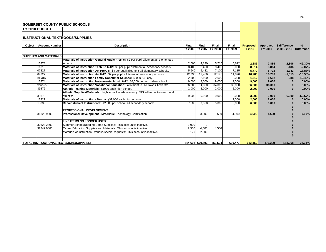|        |                               | <b>SOMERSET COUNTY PUBLIC SCHOOLS</b>                                                 |        |                          |                  |                  |                            |                     |                                         |           |
|--------|-------------------------------|---------------------------------------------------------------------------------------|--------|--------------------------|------------------|------------------|----------------------------|---------------------|-----------------------------------------|-----------|
|        | <b>IFY 2010 BUDGET</b>        |                                                                                       |        |                          |                  |                  |                            |                     |                                         |           |
|        |                               |                                                                                       |        |                          |                  |                  |                            |                     |                                         |           |
|        |                               | <b>INSTRUCTIONAL TEXTBOOKS/SUPPLIES</b>                                               |        |                          |                  |                  |                            |                     |                                         |           |
|        |                               |                                                                                       |        |                          |                  |                  |                            |                     |                                         |           |
| Object | <b>Account Number</b>         | <b>Description</b>                                                                    | Final  | Final<br>FY 2006 FY 2007 | Final<br>FY 2008 | Final<br>FY 2009 | <b>Proposed</b><br>FY 2010 | Approved<br>FY 2010 | \$ difference<br>2009 - 2010 Difference | %         |
|        |                               |                                                                                       |        |                          |                  |                  |                            |                     |                                         |           |
|        | <b>SUPPLIES AND MATERIALS</b> |                                                                                       |        |                          |                  |                  |                            |                     |                                         |           |
|        |                               | Materials of Instruction General Music PreK-5: \$2 per pupil allotment all elementary |        |                          |                  |                  |                            |                     |                                         |           |
|        | 13373                         | schools.                                                                              | 2,600  | 4,120                    | 5,716            | 5,692            | 2,886                      | 2,886               | $-2,806$                                | $-49.30%$ |
|        | 11316                         | Materials of Instruction Tech Ed 6-12: \$6 per pupil allotment all secondary schools. | 8,400  | 8,400                    | 8,400            | 9,000            | 8,814                      | 8,814               | $-186$                                  | $-2.07%$  |
|        | 07327                         | Materials of Instruction Art PreK-5: \$4 per pupil allotment all elementary schools.  | 5,640  | 5,432                    | 7,100            | 7,115            | 5.772                      | 5,772               | $-1,343$                                | $-18.88%$ |
|        | 07327                         | Materials of Instruction Art 6-12: \$7 per pupil allotment all secondary schools.     | 12.336 | 12.456                   | 12.176           | 11.896           | 10,283                     | 10,283              | $-1,613$                                | $-13.56%$ |
|        | <b>KE315</b>                  | Materials of Instruction Family Consumer Science: \$2000 SIS only.                    | 2,600  | 2,600                    | 2,600            | 2,000            | 1,612                      | 1,612               | $-388$                                  | $-19.40%$ |
|        | 13374                         | Materials of Instruction Instrumental Music 6-12: \$3,000 per secondary school.       | 9.000  | 9.000                    | 9.000            | 9,000            | 9.000                      | 9,000               |                                         | 0.00%     |
|        | various                       | Materials of Instruction Vocational Education: allotment to JM Tawes Tech Ctr.        | 26,000 | 34,000                   | 34,000           | 36,000           | 36,000                     | 36,000              |                                         | 0.00%     |
|        | 39372                         | Athletic Training Materials: \$1000 each high school.                                 | 2,000  | 2,000                    | 2,000            | 2,000            | 2,000                      | 2,000               | $\Omega$                                | 0.00%     |
|        |                               | Athletic Supplies/Materials: high school academies only; SIS will move to inter mural |        |                          |                  |                  |                            |                     |                                         |           |
|        | 39372                         | athletics.                                                                            | 9,000  | 9,000                    | 9,000            | 9,000            | 3,000                      | 3,000               | $-6,000$                                | $-66.67%$ |
|        | 13327                         | Materials of Instruction - Drama: (\$1,000 each high schools.                         |        |                          |                  | 2,000            | 2,000                      | 2,000               | $\bf{0}$                                | 0.00%     |
|        | 13339                         | Repair Musical Instruments: \$2,000 per school; all secondary schools.                | 7.500  | 7.500                    | 5.000            | 6,000            | 6,000                      | 6,000               |                                         | 0.00%     |
|        |                               |                                                                                       |        |                          |                  |                  |                            |                     |                                         |           |
|        |                               | <b>PROFESSIONAL DEVELOPMENT:</b>                                                      |        |                          |                  |                  |                            |                     |                                         |           |
|        | 31325 9800                    | Professional Development - Materials: Technology Certification                        |        | 3,500                    | 3,500            | 4,500            | 4,500                      | 4,500               |                                         | 0.00%     |
|        |                               |                                                                                       |        |                          |                  |                  |                            |                     |                                         |           |
|        |                               | LINE ITEMS NO LONGER USED:                                                            |        |                          |                  |                  |                            |                     |                                         |           |
|        | 30323 2800                    | Summer School/Reading Camp Supplies: This account is inactive.                        | 3,000  | $\Omega$                 |                  |                  |                            |                     |                                         |           |
|        | 32349 9800                    | Career Education Supplies and Materials: This account is inactive.                    | 2,500  | 4,500                    | 4,500            |                  |                            |                     |                                         |           |
|        |                               | Materials of Instruction - various special requests: This account is inactive.        | 120    | 2.800                    |                  |                  |                            |                     |                                         |           |
|        |                               |                                                                                       |        |                          |                  |                  |                            |                     |                                         |           |
|        |                               | <b>TOTAL INSTRUCTIONAL TEXTBOOKS/SUPPLIES:</b>                                        |        | 614,694 670,602          | 750,524          | 630,477          | 612,359                    | 477,209             | $-153.268$                              | $-24.31%$ |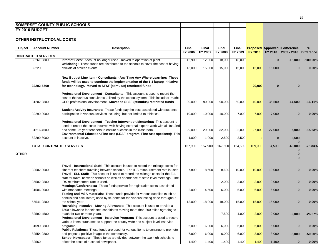|              |                                  | <b>SOMERSET COUNTY PUBLIC SCHOOLS</b>                                                                                                                        |         |         |              |         |                |              |                                        |            |
|--------------|----------------------------------|--------------------------------------------------------------------------------------------------------------------------------------------------------------|---------|---------|--------------|---------|----------------|--------------|----------------------------------------|------------|
|              | <b>FY 2010 BUDGET</b>            |                                                                                                                                                              |         |         |              |         |                |              |                                        |            |
|              |                                  |                                                                                                                                                              |         |         |              |         |                |              |                                        |            |
|              | <b>OTHER INSTRUCTIONAL COSTS</b> |                                                                                                                                                              |         |         |              |         |                |              |                                        |            |
|              |                                  |                                                                                                                                                              |         |         |              |         |                |              |                                        |            |
| Object       | <b>Account Number</b>            | <b>Description</b>                                                                                                                                           | Final   | Final   | <b>Final</b> | Final   |                |              | <b>Proposed Approved \$ difference</b> | %          |
|              |                                  |                                                                                                                                                              | FY 2006 | FY 2007 | FY 2008      | FY 2009 | FY 2010        |              | FY 2010 2009 - 2010 Difference         |            |
|              | <b>CONTRACTED SERVICES</b>       |                                                                                                                                                              |         |         |              |         |                |              |                                        |            |
|              | 32261 9800                       | Internet Fees: Account no longer used - moved to operation of plant.                                                                                         | 12,900  | 12,900  | 18,000       | 18,000  | $\overline{0}$ | $\mathbf{0}$ | $-18,000$                              | $-100.00%$ |
|              |                                  | Officiating: These funds are distributed to the schools to cover the cost of having                                                                          |         |         |              |         |                |              |                                        |            |
|              | 39220                            | officials at athletic events.                                                                                                                                | 15,000  | 15,000  | 15,000       | 15,000  | 15,000         | 15,000       | $\Omega$                               | 0.00%      |
|              |                                  |                                                                                                                                                              |         |         |              |         |                |              |                                        |            |
|              |                                  | New Budget Line Item - Consultants - Any Time Any Where Learning: These                                                                                      |         |         |              |         |                |              |                                        |            |
|              |                                  | funds will be used to continue the implementation of the 1:1 laptop initiative                                                                               |         |         |              |         |                |              |                                        |            |
|              | 32202-5500                       | for technology. Moved to SFSF (stimulus) restricted funds                                                                                                    |         |         |              |         | 20,000         | $\bf{0}$     |                                        |            |
|              |                                  |                                                                                                                                                              |         |         |              |         |                |              |                                        |            |
|              |                                  | <b>Professional Development - Consultants:</b> This account is used to record the                                                                            |         |         |              |         |                |              |                                        |            |
|              |                                  | cost of the various consultants utilized by the school system. This includes: math;                                                                          |         |         |              |         |                |              |                                        |            |
|              | 31202 9800                       | CES; professional development. Moved to SFSF (stimulus) restricted funds                                                                                     | 90,000  | 90,000  | 90,000       | 50,000  | 40,000         | 35,500       | $-14,500$                              | $-16.11%$  |
|              |                                  |                                                                                                                                                              |         |         |              |         |                |              |                                        |            |
|              |                                  | Student Activity Insurance: These funds pay the cost associated with students'                                                                               |         |         |              |         |                |              |                                        |            |
|              | 39299 8000                       | participation in various activities including, but not limited to athletics.                                                                                 | 10,000  | 10,000  | 10,000       | 7,000   | 7,000          | 7,000        |                                        | 0.00%      |
|              |                                  |                                                                                                                                                              |         |         |              |         |                |              |                                        |            |
|              |                                  | Professional Development - Teacher Intervention/Mentoring: This account is                                                                                   |         |         |              |         |                |              |                                        |            |
|              |                                  | used to record the costs incurred with having external experts work with all 1st, 2nd                                                                        |         |         |              |         |                |              |                                        |            |
|              | 31216 4500                       | and some 3rd year teachers to ensure success in the classroom.                                                                                               | 29,000  | 29,000  | 32,000       | 32,000  | 27,000         | 27,000       | $-5,000$                               | $-15.63%$  |
|              |                                  | Environmental Education/Fine Arts (LEAF program, Fine Arts speakers): This                                                                                   |         |         |              |         |                |              |                                        |            |
|              | 32299 8000                       | account is inactive.                                                                                                                                         | 1,000   | 1,000   | 2,500        | 2,500   | $\bf{0}$       | $\bf{0}$     | $-2,500$                               |            |
|              | <b>TOTAL CONTRACTED SERVICES</b> |                                                                                                                                                              | 157,900 | 157,900 | 167,500      | 124,500 | 109,000        | 84,500       | $-40,000$                              | $-25.33%$  |
|              |                                  |                                                                                                                                                              |         |         |              |         |                |              |                                        |            |
| <b>OTHER</b> |                                  |                                                                                                                                                              |         |         |              |         |                |              |                                        |            |
|              |                                  |                                                                                                                                                              |         |         |              |         |                |              |                                        |            |
|              |                                  |                                                                                                                                                              |         |         |              |         |                |              |                                        |            |
|              |                                  | Travel - Instructional Staff: This account is used to record the mileage costs for                                                                           |         |         |              |         |                |              |                                        |            |
|              | 32502 8000                       | itinerant teachers traveling between schools. The IRS reimbursement rate is used.                                                                            | 7,800   | 8,600   | 8,600        | 10,000  | 10,000         | 10,000       |                                        | 0.00%      |
|              |                                  | Travel - ELL Staff: This account is used to record the mileage costs for the ELL                                                                             |         |         |              |         |                |              |                                        |            |
|              |                                  | staff for travel between schools as well as attendance at state level meetings. The                                                                          |         |         |              |         |                |              |                                        |            |
|              | 35502 9800                       | IRS reimbursement rate is used.                                                                                                                              |         |         | 2,000        | 3,000   | 3,000          | 3,000        | $\bf{0}$                               | 0.00%      |
|              |                                  | Meetings/Conferences: These funds provide for registration costs associated                                                                                  |         |         |              |         |                |              |                                        |            |
|              | 31506 8000                       | with mandated meetings.                                                                                                                                      | 2,000   | 4,500   | 6,000        | 6,000   | 6,000          | 6,000        | $\bf{0}$                               | 0.00%      |
|              |                                  | Testing and MSA materials: These funds provide for various supplies (such as                                                                                 |         |         |              |         |                |              |                                        |            |
|              |                                  | pencils and calculators) used by students for the various testing done throughout                                                                            |         |         |              |         |                |              |                                        |            |
|              | 55541 9800                       | the school year.                                                                                                                                             | 18,000  | 18,000  | 18,000       | 15,000  | 15,000         | 15,000       | $\bf{0}$                               | 0.00%      |
|              |                                  | Recruiting Incentive - Moving Allowance: This account is used to provide a<br>\$500 allowance for selected candidates moving more than 200 miles agreeing to |         |         |              |         |                |              |                                        |            |
|              | 32592 4500                       | teach for two or more years.                                                                                                                                 |         |         | 7,500        | 4,000   | 2,000          | 2,000        | $-2,000$                               | $-26.67%$  |
|              |                                  | Professional Development - Inservice Program: This account is used to record                                                                                 |         |         |              |         |                |              |                                        |            |
|              |                                  | various items purchased to support the county wide and subject level inservice                                                                               |         |         |              |         |                |              |                                        |            |
|              | 31590 9800                       | programs.                                                                                                                                                    | 6,000   | 6,000   | 6,000        | 6,000   | 6,000          | 6,000        | $\bf{0}$                               | 0.00%      |
|              |                                  | <b>Public Relations:</b> These funds are used for various items to continue to promote                                                                       |         |         |              |         |                |              |                                        |            |
|              | 32554 9800                       | and project a positive image in the community.                                                                                                               | 7,800   | 6,000   | 6,000        | 6,000   | 3,000          | 3,000        | $-3,000$                               | $-50.00%$  |
|              |                                  | School Newspaper: These funds are divided between the two high schools to                                                                                    |         |         |              |         |                |              |                                        |            |
|              | 32560                            | offset the costs of a school newspaper.                                                                                                                      | 1,400   | 1,400   | 1,400        | 1,400   | 1,400          | 1,400        | $\bf{0}$                               | 0.00%      |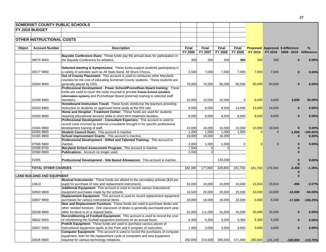|        | <b>SOMERSET COUNTY PUBLIC SCHOOLS</b> |                                                                                         |         |                            |                         |                |                |                 |                                        |                        |
|--------|---------------------------------------|-----------------------------------------------------------------------------------------|---------|----------------------------|-------------------------|----------------|----------------|-----------------|----------------------------------------|------------------------|
|        | <b>FY 2010 BUDGET</b>                 |                                                                                         |         |                            |                         |                |                |                 |                                        |                        |
|        |                                       |                                                                                         |         |                            |                         |                |                |                 |                                        |                        |
|        | <b>OTHER INSTRUCTIONAL COSTS</b>      |                                                                                         |         |                            |                         |                |                |                 |                                        |                        |
|        |                                       |                                                                                         |         |                            |                         |                |                |                 |                                        |                        |
|        | <b>Account Number</b>                 | <b>Description</b>                                                                      | Final   | Final                      | <b>Final</b>            | Final          |                |                 | <b>Proposed Approved \$ difference</b> | %                      |
| Object |                                       |                                                                                         | FY 2006 | FY 2007                    | FY 2008                 | FY 2009        | <b>FY 2010</b> |                 | FY 2010 2009 - 2010 Difference         |                        |
|        |                                       | Bayside Conference Dues: These funds pay the annual dues for participation in           |         |                            |                         |                |                |                 |                                        |                        |
|        | 39575 8000                            | the Bayside Conference for athletics.                                                   | 300     | 300                        | 300                     | 300            | 300            | 300             |                                        | 0.00%                  |
|        |                                       |                                                                                         |         |                            |                         |                |                |                 |                                        |                        |
|        |                                       | <b>Selected meeting &amp; Symposiums:</b> These funds support students participating in |         |                            |                         |                |                |                 |                                        |                        |
|        | 32577 9800                            | a variety of activities such as All State Band, All Shore Chorus.                       | 2,500   | 7,000                      | 7,000                   | 7,000          | 7,000          | 7,000           |                                        | 0.00%                  |
|        |                                       | Out of County Placement: This account is used to reimburse other Maryland               |         |                            |                         |                |                |                 |                                        |                        |
|        |                                       | counties for the cost of educating Somerset County students. These students are         |         |                            |                         |                |                |                 |                                        |                        |
|        | 32564 8000                            | generally placed by DSS.                                                                | 70,000  | 70,000                     | 80,000                  | 90,000         | 90,000         | 90,000          |                                        | 0.00%                  |
|        |                                       | Professional Development - Power School/Promethian Board training: These                |         |                            |                         |                |                |                 |                                        |                        |
|        |                                       | funds are used to cover the costs incurred to provide Power School (student-            |         |                            |                         |                |                |                 |                                        |                        |
|        |                                       | information system) and Promethean Board (external) training to selected staff          |         |                            |                         |                |                |                 |                                        |                        |
|        |                                       |                                                                                         |         |                            |                         |                |                |                 |                                        |                        |
|        | 31599 9900                            | members.<br>Homebound Instruction Travel: These funds reimburse the teachers providing  | 10,000  | 10,000                     | 10,000                  | $\overline{0}$ | 6,000          | 3,600           | 3,600                                  | 36.00%                 |
|        |                                       |                                                                                         |         |                            |                         |                |                |                 |                                        |                        |
|        | 32503 8900                            | instruction to students on approved home study at the IRS rate.                         | 8,000   | 8,000                      | 8,000                   | 14,000         | 14,000         | 14,000          | $\bf{0}$                               | 0.00%                  |
|        |                                       | Home and Hospital - Treatment Center: These funds are used for students                 |         |                            |                         |                |                |                 |                                        |                        |
|        | 32563 9800                            | requiring educational services while in short term treatment facilities.                | 8,000   | 8,000                      | 8,000                   | 8,000          | 8,000          | 8,000           | $\Omega$                               | 0.00%                  |
|        |                                       | Professional Development - Consultant Expenses: This account is used to                 |         |                            |                         |                |                |                 |                                        |                        |
|        |                                       | record costs incurred by external consultants brought in for specific professional      |         |                            |                         |                |                |                 |                                        |                        |
|        | 31504 9800                            | development training of staff.                                                          | 10,000  | 10,000                     | 10,000                  | 10,000         | 10,000         | 10,000          |                                        | 0.00%                  |
|        | 32505 9800                            | Student Council Dues: This account is inactive.                                         | 1,000   | 1,000                      | 1,000                   | 1,000          | $\Omega$       | $\Omega$        | $-1,000$                               | $-100.00%$             |
|        | 31555 9800                            | School Improvement Grants: This account is inactive.                                    | 18,000  | 18,000                     | 18,000                  |                |                |                 |                                        | 0.00%                  |
|        |                                       | Professional Development - Gifted and Talented Training: This account is                |         |                            |                         |                |                |                 |                                        |                        |
|        | 37506 5800                            | inactive.                                                                               | 2,000   | 1,000                      | 1,000                   | $\overline{0}$ | $\Omega$       | $\Omega$        |                                        | 0.00%                  |
|        | 32599 8700                            | Maryland School Assessment Program: This account is inactive.                           | 7,500   | $\overline{0}$<br>$\Omega$ | $\mathbf{0}$            |                |                |                 |                                        |                        |
|        | 32560 8000                            | Publications: Account no longer used.                                                   | 2,000   |                            |                         |                |                |                 |                                        |                        |
|        |                                       |                                                                                         |         |                            |                         |                |                |                 |                                        |                        |
|        | 31591                                 | Professional Development - Site Based Allowances: This account is inactive.             |         |                            | 130,000                 |                |                |                 |                                        | 0.00%                  |
|        |                                       |                                                                                         |         |                            |                         |                |                |                 |                                        |                        |
|        | <b>TOTAL OTHER CHARGES</b>            |                                                                                         | 182,300 | 177,800                    | 328,800                 | 181,700        | 181,700        | 179,300         | $-2,400$                               | $-1.35%$               |
|        | <b>LAND BUILDING AND EQUIPMENT</b>    |                                                                                         |         |                            |                         |                |                |                 |                                        |                        |
|        |                                       | <b>Musical Instruments:</b> These funds are alloted to the secondary schools (\$16 per  |         |                            |                         |                |                |                 | $\Omega$                               |                        |
|        |                                       |                                                                                         |         |                            |                         |                |                |                 |                                        |                        |
|        | 13613                                 | pupil) for purchase of new and replacement instruments.                                 | 16,000  | 24,000                     | 24,000                  | 24,000         | 23,504         | 23,504          | -496                                   | $-2.07%$               |
|        |                                       | Additional Equipment: This account is used to record various instructional              |         |                            |                         |                |                |                 |                                        |                        |
|        | 32603 9800                            | equipment purchases made by the schools.                                                | 16,500  | 20,000                     | 20,000                  | 20,000         | 10,000         | 10,000          | $-10,000$                              | $-50.00%$              |
|        |                                       | Replacement Equipment: This account is used to record replacement equipment             |         |                            |                         |                |                |                 |                                        |                        |
|        | 32607 9800                            | purchases for various instructional items.                                              | 16,000  | 16,000                     | 16,000                  | 22,000         | 5,000          | 5,000           | $-17,000$                              | $-106.25%$             |
|        |                                       | New and Replacement Furniture: These funds are used to purchase desks and               |         |                            |                         |                |                |                 |                                        |                        |
|        |                                       | other needed furniture. One classroom of desks is generally purchased each year;        |         |                            |                         |                |                |                 |                                        |                        |
|        | 32639 9800                            | other furniture is on a request basis.                                                  | 31,000  | 111,000                    | 31,000                  | 25,000         | 25,000         | 25,000          | $\Omega$                               | 0.00%                  |
|        |                                       | Reconditioning of Football Equipment: This account is used to record the cost           |         |                            |                         |                |                |                 |                                        |                        |
|        | 39632 8000                            | of refurbishing the football equipment (helmets) on an annual basis.                    | 5,300   | 5,300                      | 5,300                   | 5,300          | 5,300          | 5,300           | $\bf{0}$                               | 0.00%                  |
|        |                                       | PreK/K Equipment: These funds are used to purchase various pieces of                    |         |                            |                         |                |                |                 |                                        |                        |
|        | 32607 2000                            | instructional equipment spefic to the PreK and K program of instruction.                | 1,000   | 3,000                      | 3,000                   | 3,000          | 3,000          | 3,000           | $\bf{0}$                               | 0.00%                  |
|        |                                       | Computer Equipment: This account is used to record the purchases of computer            |         |                            |                         |                |                |                 |                                        |                        |
|        |                                       | equipment, both for the replacement cycle of computers and new equipment                |         |                            |                         |                |                |                 |                                        |                        |
|        | 32636 9800                            | required for various technology initiatives.                                            | 250,000 |                            | 214,500 285,000 471,000 |                |                | 190,000 141,100 |                                        | $-329,900$ $-115.75\%$ |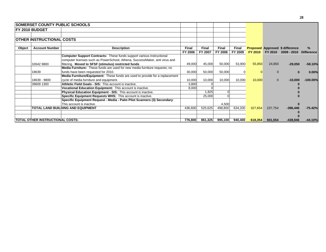|        | <b>SOMERSET COUNTY PUBLIC SCHOOLS</b>                                      |                                                                              |              |              |                    |              |                |          |                                        |                   |
|--------|----------------------------------------------------------------------------|------------------------------------------------------------------------------|--------------|--------------|--------------------|--------------|----------------|----------|----------------------------------------|-------------------|
|        | <b>IFY 2010 BUDGET</b>                                                     |                                                                              |              |              |                    |              |                |          |                                        |                   |
|        |                                                                            |                                                                              |              |              |                    |              |                |          |                                        |                   |
|        | <b>OTHER INSTRUCTIONAL COSTS</b>                                           |                                                                              |              |              |                    |              |                |          |                                        |                   |
| Object | <b>Account Number</b>                                                      | <b>Description</b>                                                           | <b>Final</b> | <b>Final</b> | <b>Final</b>       | <b>Final</b> |                |          | <b>Proposed Approved \$ difference</b> |                   |
|        |                                                                            |                                                                              | FY 2006      | FY 2007      | <b>FY 2008</b>     | FY 2009      | <b>FY 2010</b> | FY 2010  | 2009 - 2010                            | <b>Difference</b> |
|        |                                                                            | <b>Computer Support Contracts:</b> These funds support various instructional |              |              |                    |              |                |          |                                        |                   |
|        |                                                                            | computer licenses such as PowerSchool, Athena, SuccessMaker, anti virus and  |              |              |                    |              |                |          |                                        |                   |
|        | 32642 9800<br>filtering. Moved to SFSF (stimulus) restricted funds         |                                                                              | 49,000       | 45,000       | 50,000             | 53,900       | 55,850         | 24,850   | $-29,050$                              | $-58.10%$         |
|        | Media Furniture: These funds are used for new media furniture requests; no |                                                                              |              |              |                    |              |                |          |                                        |                   |
|        | 18639<br>funds have been requested for 2010.                               |                                                                              | 30,000       | 50,000       | 50,000             |              |                |          |                                        | 0.00%             |
|        |                                                                            | Media Furniture/Equipment: These funds are used to provide for a replacement |              |              |                    |              |                |          |                                        |                   |
|        | 18639 - 9800                                                               | cycle of media furniture and equipment.                                      | 10,000       | 10,000       | 10,000             | 10,000       | 10,000         | $\Omega$ | $-10,000$                              | $-100.00\%$       |
|        | 39609 1300                                                                 | Athletic Field Goals - SIS: This account is inactive.                        | 3,800        |              |                    |              |                |          |                                        |                   |
|        |                                                                            | Vocational Education Equipment: This account is inactive.                    | 8,000        |              |                    |              |                |          |                                        |                   |
|        |                                                                            | <b>Physical Education Equipment - SIS: This account is inactive.</b>         |              | 1,825        |                    |              |                |          |                                        |                   |
|        |                                                                            | Specific Equipment Requests WHS: This account is inactive.                   |              | 25,000       |                    |              |                |          |                                        |                   |
|        |                                                                            | Specific Equipment Request - Media - Palm Pilot Scanners (3) Secondary:      |              |              |                    |              |                |          |                                        |                   |
|        | This account is inactive.                                                  |                                                                              |              |              | 4,500              |              |                |          |                                        |                   |
|        |                                                                            | TOTAL LAND BUILDING AND EQUIPMENT                                            | 436,600      | 525,625      | 498,800            | 634,200      | 327,654        | 237,754  | $-396,446$                             | $-75.42%$         |
|        |                                                                            |                                                                              |              |              |                    |              |                |          |                                        |                   |
|        |                                                                            |                                                                              |              |              |                    |              |                |          |                                        |                   |
|        |                                                                            | <b>TOTAL OTHER INSTRUCTIONAL COSTS:</b>                                      |              |              | 861,325<br>995,100 | 940,400      | 618,354        | 501,554  | $-438,846$                             | $-44.10%$         |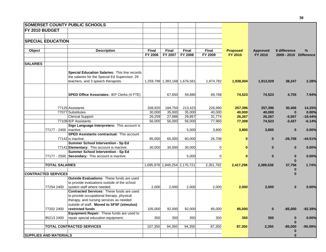|                 | <b>SOMERSET COUNTY PUBLIC SCHOOLS</b>                                                |              |                               |                |                |                 |           |                        |           |
|-----------------|--------------------------------------------------------------------------------------|--------------|-------------------------------|----------------|----------------|-----------------|-----------|------------------------|-----------|
| FY 2010 BUDGET  |                                                                                      |              |                               |                |                |                 |           |                        |           |
|                 |                                                                                      |              |                               |                |                |                 |           |                        |           |
|                 | <b>SPECIAL EDUCATION</b>                                                             |              |                               |                |                |                 |           |                        |           |
|                 |                                                                                      |              |                               |                |                |                 |           |                        |           |
| Object          | <b>Description</b>                                                                   | <b>Final</b> | <b>Final</b>                  | <b>Final</b>   | Final          | <b>Proposed</b> | Approved  | \$ difference          | %         |
|                 |                                                                                      | FY 2006      | FY 2007                       | <b>FY 2008</b> | FY 2009        | FY 2010         | FY 2010   | 2009 - 2010 Difference |           |
|                 |                                                                                      |              |                               |                |                |                 |           |                        |           |
| <b>SALARIES</b> |                                                                                      |              |                               |                |                |                 |           |                        |           |
|                 |                                                                                      |              |                               |                |                |                 |           |                        |           |
|                 | Special Education Salaries: This line records                                        |              |                               |                |                |                 |           |                        |           |
|                 | the salaries for the Special Ed Supervisor; 29<br>teachers, and 3 speech therapists. |              | 1,259,799 1,383,168 1,676,561 |                | 1,874,782      | 1,938,004       | 1,913,029 | 38,247                 | 2.28%     |
|                 |                                                                                      |              |                               |                |                |                 |           |                        |           |
|                 |                                                                                      |              |                               |                |                |                 |           |                        |           |
|                 | <b>SPED Office Associates: IEP Clerks (4 FTE)</b>                                    |              | 67,650                        | 59,880         | 69,768         | 74,523          | 74,523    | 4,755                  | 7.94%     |
|                 |                                                                                      |              |                               |                |                |                 |           |                        |           |
|                 |                                                                                      |              |                               |                |                |                 |           |                        |           |
|                 | 77125 Assistants                                                                     | 208,920      | 184,750                       | 213,423        | 226,990        | 257,396         | 257,396   | 30,406                 | 14.25%    |
|                 | 77077 Substitutes                                                                    | 30,000       | 35,000                        | 35,000         | 40,000         | 40,000          | 40,000    | $\bf{0}$               | 0.00%     |
|                 | <b>Clerical Support</b>                                                              | 26,259       | 27,686                        | 29,857         | 31,774         | 26,267          | 26,267    | $-5,507$               | $-18.44%$ |
|                 | 77108 IEP Assistants<br>Sign Language Interpreters: This account is                  | 56,000       | 56,000                        | 56,000         | 77,960         | 77,308          | 74,523    | $-3,437$               | $-6.14%$  |
|                 | 77177 - 2400   inactive.                                                             |              |                               | 5,000          | 3,800          | 3,800           | 3,800     | $\bf{0}$               | 0.00%     |
|                 | <b>SPED Assistants contractual: This account</b>                                     |              |                               |                |                |                 |           |                        |           |
|                 | 77142 is inactive.                                                                   | 85,000       | 65,000                        | 60,000         | 26,708         |                 | $\bf{0}$  | $-26,708$              | $-44.51%$ |
|                 | Summer School Intervention - Sp Ed                                                   |              |                               |                |                |                 |           |                        |           |
|                 | 77141 Elementary: This account is inactive.                                          | 30,000       | 30,000                        | 30,000         | $\overline{0}$ | 0               | $\bf{0}$  | $\bf{0}$               | 0.00%     |
|                 | Summer School Intervention - Sp Ed                                                   |              |                               |                |                |                 |           |                        |           |
|                 | 77177 - 2500 Secondary: This account is inactive.                                    |              |                               | 5,000          | $\overline{0}$ | $\bf{0}$        | $\bf{0}$  | $\bf{0}$               | 0.00%     |
|                 |                                                                                      |              |                               |                |                |                 |           |                        |           |
|                 | <b>TOTAL SALARIES</b>                                                                |              | 1,695,978 1,849,254 2,170,721 |                | 2,351,782      | 2,417,298       | 2,389,538 | 37,756<br>$\bf{0}$     | 1.74%     |
|                 | <b>CONTRACTED SERVICES</b>                                                           |              |                               |                |                |                 |           | $\bf{0}$               |           |
|                 | <b>Outside Evaluations: These funds are used</b>                                     |              |                               |                |                |                 |           |                        |           |
|                 | to provide evaluations outside of the school                                         |              |                               |                |                |                 |           |                        |           |
|                 | 77254 2400<br>system staff where needed.                                             | 2,000        | 2,000                         | 2,000          | 2,000          | 2,000           | 2,000     | $\bf{0}$               | 0.00%     |
|                 | Contracted Services: These funds are used                                            |              |                               |                |                |                 |           |                        |           |
|                 | to provide occupational therapy, physical                                            |              |                               |                |                |                 |           |                        |           |
|                 | therapy, and nursing services as needed                                              |              |                               |                |                |                 |           |                        |           |
|                 | outside of staff. Moved to SFSF (stimulus)                                           |              |                               |                |                |                 |           |                        |           |
|                 | 77202 2400<br>restricted funds<br>Equipment Repair: These funds are used to          | 105,000      | 92,000                        | 92,000         | 85,000         | 85,000          | $\bf{0}$  | $-85,000$              | $-92.39%$ |
|                 | 95213 2400<br>repair special education equipment.                                    | 350          | 350                           | 350            | 350            | 350             | 350       | $\bf{0}$               | 0.00%     |
|                 |                                                                                      |              |                               |                |                |                 |           |                        |           |
|                 | <b>TOTAL CONTRACTED SERVICES</b>                                                     | 107,350      | 94,350                        | 94,350         | 87,350         | 87,350          | 2,350     | $-85,000$              | $-90.09%$ |
|                 |                                                                                      |              |                               |                |                |                 |           |                        |           |
|                 | <b>SUPPLIES AND MATERIALS</b>                                                        |              |                               |                |                |                 |           | $\bf{0}$               |           |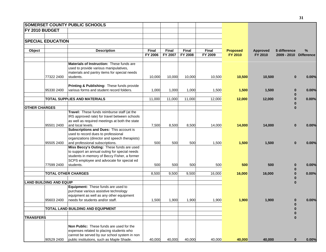| <b>SOMERSET COUNTY PUBLIC SCHOOLS</b> |                                                                                   |              |         |                |              |                 |                 |                        |       |
|---------------------------------------|-----------------------------------------------------------------------------------|--------------|---------|----------------|--------------|-----------------|-----------------|------------------------|-------|
| <b>FY 2010 BUDGET</b>                 |                                                                                   |              |         |                |              |                 |                 |                        |       |
|                                       |                                                                                   |              |         |                |              |                 |                 |                        |       |
| <b>SPECIAL EDUCATION</b>              |                                                                                   |              |         |                |              |                 |                 |                        |       |
|                                       |                                                                                   |              |         |                |              |                 |                 |                        |       |
| Object                                | <b>Description</b>                                                                | <b>Final</b> | Final   | <b>Final</b>   | <b>Final</b> | <b>Proposed</b> | <b>Approved</b> | \$ difference          | %     |
|                                       |                                                                                   | FY 2006      | FY 2007 | <b>FY 2008</b> | FY 2009      | FY 2010         | FY 2010         | 2009 - 2010 Difference |       |
|                                       |                                                                                   |              |         |                |              |                 |                 |                        |       |
|                                       | Materials of Instruction: These funds are                                         |              |         |                |              |                 |                 |                        |       |
|                                       | used to provide various manipulatives,                                            |              |         |                |              |                 |                 |                        |       |
| 77322 2400                            | materials and pantry items for special needs<br>students.                         | 10,000       | 10,000  | 10,000         |              |                 |                 | $\bf{0}$               |       |
|                                       |                                                                                   |              |         |                | 10,500       | 10,500          | 10,500          |                        | 0.00% |
|                                       | Printing & Publishing: These funds provide                                        |              |         |                |              |                 |                 |                        |       |
| 95330 2400                            | various forms and student record folders.                                         | 1,000        | 1,000   | 1,000          | 1,500        | 1,500           | 1,500           | $\bf{0}$               | 0.00% |
|                                       |                                                                                   |              |         |                |              |                 |                 | 0                      |       |
|                                       | <b>TOTAL SUPPLIES AND MATERIALS</b>                                               | 11,000       | 11,000  | 11,000         | 12,000       | 12,000          | 12,000          | $\bf{0}$               | 0.00% |
|                                       |                                                                                   |              |         |                |              |                 |                 |                        |       |
| <b>OTHER CHARGES</b>                  |                                                                                   |              |         |                |              |                 |                 | $\bf{0}$               |       |
|                                       | Travel: These funds reimburse staff (at the                                       |              |         |                |              |                 |                 |                        |       |
|                                       | IRS approved rate) for travel between schools                                     |              |         |                |              |                 |                 |                        |       |
|                                       | as well as required meetings at both the state                                    |              |         |                |              |                 |                 |                        |       |
| 95501 2400                            | and local levels.                                                                 | 7,500        | 8,500   | 8,500          | 14,000       | 14,000          | 14,000          | $\bf{0}$               | 0.00% |
|                                       | Subscriptions and Dues: This account is                                           |              |         |                |              |                 |                 |                        |       |
|                                       | used to record dues to professional                                               |              |         |                |              |                 |                 |                        |       |
| 95505 2400                            | organizations (director and speech therapists)<br>and professional subscriptions. | 500          | 500     | 500            | 1,500        | 1,500           | 1,500           | $\bf{0}$               | 0.00% |
|                                       | Miss Beccy's Outing: These funds are used                                         |              |         |                |              |                 |                 |                        |       |
|                                       | to support an annual outing for special needs                                     |              |         |                |              |                 |                 |                        |       |
|                                       | students in memory of Beccy Fisher, a former                                      |              |         |                |              |                 |                 |                        |       |
|                                       | SCPS employee and advocate for special ed                                         |              |         |                |              |                 |                 |                        |       |
| 77599 2400                            | students.                                                                         | 500          | 500     | 500            | 500          | 500             | 500             |                        | 0.00% |
|                                       |                                                                                   |              |         |                |              |                 |                 | $\bf{0}$               |       |
|                                       | <b>TOTAL OTHER CHARGES</b>                                                        | 8,500        | 9,500   | 9,500          | 16,000       | 16,000          | 16,000          | $\bf{0}$               | 0.00% |
|                                       |                                                                                   |              |         |                |              |                 |                 |                        |       |
| <b>LAND BUILDING AND EQUIP</b>        |                                                                                   |              |         |                |              |                 |                 |                        |       |
|                                       | Equipment: These funds are used to                                                |              |         |                |              |                 |                 |                        |       |
|                                       | purchase various assistive technology                                             |              |         |                |              |                 |                 |                        |       |
| 95603 2400                            | equipment as well as any other equipment<br>needs for students and/or staff.      | 1,500        | 1,900   | 1,900          | 1,900        | 1,900           | 1,900           |                        | 0.00% |
|                                       |                                                                                   |              |         |                |              |                 |                 | $\bf{0}$               |       |
|                                       | TOTAL LAND BUILDING AND EQUIPMENT                                                 |              |         |                |              |                 |                 | $\bf{0}$               |       |
|                                       |                                                                                   |              |         |                |              |                 |                 | $\bf{0}$               |       |
| <b>TRANSFERS</b>                      |                                                                                   |              |         |                |              |                 |                 | $\bf{0}$               |       |
|                                       |                                                                                   |              |         |                |              |                 |                 |                        |       |
|                                       | Non Public: These funds are used for the                                          |              |         |                |              |                 |                 |                        |       |
|                                       | expenses related to placing students who                                          |              |         |                |              |                 |                 |                        |       |
|                                       | cannot be served by our school system in non                                      |              |         |                |              |                 |                 |                        |       |
| 90529 2400                            | public institutions, such as Maple Shade.                                         | 40,000       | 40,000  | 40,000         | 40,000       | 40,000          | 40,000          | $\bf{0}$               | 0.00% |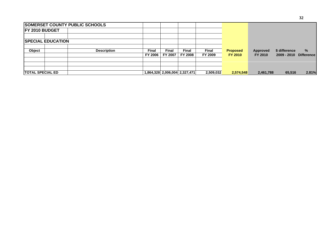|                          | <b>SOMERSET COUNTY PUBLIC SCHOOLS</b> |         |              |                               |           |                 |           |               |                   |
|--------------------------|---------------------------------------|---------|--------------|-------------------------------|-----------|-----------------|-----------|---------------|-------------------|
| <b>IFY 2010 BUDGET</b>   |                                       |         |              |                               |           |                 |           |               |                   |
|                          | <b>SPECIAL EDUCATION</b>              |         |              |                               |           |                 |           |               |                   |
|                          |                                       |         |              |                               |           |                 |           |               |                   |
| <b>Object</b>            | <b>Description</b>                    | Final   | <b>Final</b> | <b>Final</b>                  | Final     | <b>Proposed</b> | Approved  | \$ difference | $\frac{9}{6}$     |
|                          |                                       | FY 2006 | FY 2007      | <b>FY 2008</b>                | FY 2009   | <b>FY 2010</b>  | FY 2010   | 2009 - 2010   | <b>Difference</b> |
|                          |                                       |         |              |                               |           |                 |           |               |                   |
|                          |                                       |         |              |                               |           |                 |           |               |                   |
| <b>ITOTAL SPECIAL ED</b> |                                       |         |              | 1,864,328 2,006,004 2,327,471 | 2,509,032 | 2,574,548       | 2,461,788 | 65,516        | 2.81%             |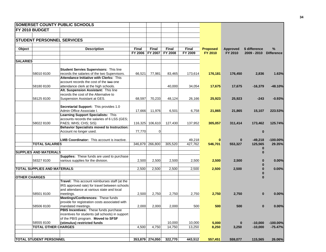|                      |                                      | <b>SOMERSET COUNTY PUBLIC SCHOOLS</b>             |                 |                 |              |              |                 |                 |               |                   |
|----------------------|--------------------------------------|---------------------------------------------------|-----------------|-----------------|--------------|--------------|-----------------|-----------------|---------------|-------------------|
|                      | FY 2010 BUDGET                       |                                                   |                 |                 |              |              |                 |                 |               |                   |
|                      |                                      |                                                   |                 |                 |              |              |                 |                 |               |                   |
|                      |                                      | STUDENT PERSONNEL SERVICES                        |                 |                 |              |              |                 |                 |               |                   |
|                      |                                      |                                                   |                 |                 |              |              |                 |                 |               |                   |
| Object               |                                      | <b>Description</b>                                | <b>Final</b>    | Final           | <b>Final</b> | <b>Final</b> | <b>Proposed</b> | <b>Approved</b> | \$ difference | $\%$              |
|                      |                                      |                                                   | FY 2006 FY 2007 |                 | FY 2008      | FY 2009      | FY 2010         | FY 2010         | 2009 - 2010   | <b>Difference</b> |
|                      |                                      |                                                   |                 |                 |              |              |                 |                 |               |                   |
| <b>SALARIES</b>      |                                      |                                                   |                 |                 |              |              |                 |                 |               |                   |
|                      |                                      |                                                   |                 |                 |              |              |                 |                 |               |                   |
|                      |                                      | <b>Student Servies Supervisors: This line</b>     |                 |                 |              |              |                 |                 |               |                   |
|                      | 58010 8100                           | records the salaries of the two Supervisors.      | 66,521          | 77,981          | 83,465       | 173,614      | 176,181         | 176,450         | 2,836         | 1.63%             |
|                      |                                      | <b>Attendance Initiative with Clerks: This</b>    |                 |                 |              |              |                 |                 |               |                   |
|                      |                                      | account records the cost of the twe one           |                 |                 |              |              |                 |                 |               |                   |
|                      | 58180 8100                           | attendance clerk at the high schools.             |                 |                 | 40,000       | 34,054       | 17,675          | 17,675          | $-16,379$     | -48.10%           |
|                      |                                      | Alt. Suspension Assistant: This line              |                 |                 |              |              |                 |                 |               |                   |
|                      |                                      | records the cost of the Alternative to            |                 |                 |              |              |                 |                 |               |                   |
|                      | 58125 8100                           | Suspension Assistant at GES.                      | 68,597          | 70,233          | 48,124       | 26,166       | 25,923          | 25,923          | $-243$        | $-0.93%$          |
|                      |                                      | Secretarial Support: This provides 1.0            |                 |                 |              |              |                 |                 |               |                   |
|                      |                                      | Admin Office Associate I.                         | 17,666          | 11,976          | 6,501        | 6,758        | 21,865          | 21,865          | 15,107        | 223.53%           |
|                      |                                      | Learning Support Specialists: This                |                 |                 |              |              |                 |                 |               |                   |
|                      |                                      | accounts records the salaries of 6 LSS (GES;      |                 |                 |              |              |                 |                 |               |                   |
|                      | 58022 8100                           | PAES; WHS; CHS; SIS)                              |                 |                 | 127,430      | 137,952      |                 |                 |               |                   |
|                      |                                      | <b>Behavior Specialists moved to Instruction:</b> |                 | 116,325 106,610 |              |              | 305,057         | 311,414         | 173,462       | 125.74%           |
|                      |                                      |                                                   |                 | $\mathbf 0$     |              |              |                 |                 | $\bf{0}$      |                   |
|                      |                                      | Account no longer used.                           | 77,770          |                 |              |              |                 |                 |               |                   |
|                      |                                      | <b>LMB Coordinator:</b> This account is inactive. |                 |                 |              | 49,218       |                 | $\bf{0}$        | $-49,218$     | $-100.00%$        |
|                      | <b>TOTAL SALARIES</b>                |                                                   |                 | 346,879 266,800 | 305,520      | 427,762      | 546,701         | 553,327         | 125,565       | 29.35%            |
|                      |                                      |                                                   |                 |                 |              |              |                 |                 | 0             |                   |
|                      | <b>SUPPLIES AND MATERIALS</b>        |                                                   |                 |                 |              |              |                 |                 | $\bf{0}$      |                   |
|                      |                                      | Supplies: These funds are used to purchase        |                 |                 |              |              |                 |                 |               |                   |
|                      | 58327 8100                           | various supplies for the division.                | 2,500           | 2,500           | 2,500        | 2,500        | 2,500           | 2,500           |               | 0.00%             |
|                      |                                      |                                                   |                 |                 |              |              |                 |                 |               |                   |
|                      | <b>TOTAL SUPPLIES AND MATERIALS:</b> |                                                   | 2,500           | 2,500           | 2,500        | 2,500        | 2,500           | 2,500           |               | 0.00%             |
|                      |                                      |                                                   |                 |                 |              |              |                 |                 |               |                   |
| <b>OTHER CHARGES</b> |                                      |                                                   |                 |                 |              |              |                 |                 |               |                   |
|                      |                                      | Travel: This account reimburses staff (at the     |                 |                 |              |              |                 |                 |               |                   |
|                      |                                      | IRS approved rate) for travel between schools     |                 |                 |              |              |                 |                 |               |                   |
|                      |                                      | and attendance at various state and local         |                 |                 |              |              |                 |                 |               |                   |
|                      | 58501 8100                           | meetings.                                         | 2,500           | 2,750           | 2,750        | 2,750        | 2,750           | 2,750           | 0             | 0.00%             |
|                      |                                      | Meetings/Conferences: These funds                 |                 |                 |              |              |                 |                 |               |                   |
|                      |                                      | provide for registration costs associated with    |                 |                 |              |              |                 |                 |               |                   |
|                      | 58506 8100                           | mandated meetings.                                | 2,000           | 2,000           | 2,000        | 500          | 500             | 500             |               | 0.00%             |
|                      |                                      | PBIS Incentives: These funds purchase             |                 |                 |              |              |                 |                 |               |                   |
|                      |                                      | incentives for students (all schools) in support  |                 |                 |              |              |                 |                 |               |                   |
|                      |                                      | of the PBIS program. Moved to SFSF                |                 |                 |              |              |                 |                 |               |                   |
|                      | 58555 8100                           | (stimulus) restricted funds                       |                 |                 | 10,000       | 10,000       | 5,000           | $\bf{0}$        | $-10,000$     | $-100.00\%$       |
|                      | <b>TOTAL OTHER CHARGES</b>           |                                                   | 4,500           | 4,750           | 14,750       | 13,250       | 8,250           | 3,250           | $-10,000$     | $-75.47%$         |
|                      |                                      |                                                   |                 |                 |              |              |                 |                 |               |                   |
|                      |                                      |                                                   |                 |                 |              |              |                 |                 |               |                   |
|                      | <b>TOTAL STUDENT PERSONNEL</b>       |                                                   |                 | 353,879 274,050 | 322,770      | 443,512      | 557,451         | 559,077         | 115,565       | 26.06%            |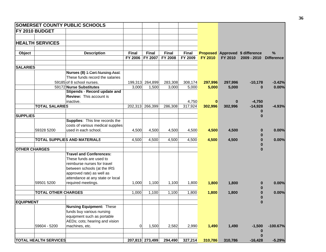|                      |                              | <b>SOMERSET COUNTY PUBLIC SCHOOLS</b> |              |                 |                |              |                |          |                                        |                   |
|----------------------|------------------------------|---------------------------------------|--------------|-----------------|----------------|--------------|----------------|----------|----------------------------------------|-------------------|
|                      | FY 2010 BUDGET               |                                       |              |                 |                |              |                |          |                                        |                   |
|                      |                              |                                       |              |                 |                |              |                |          |                                        |                   |
|                      | <b>HEALTH SERVICES</b>       |                                       |              |                 |                |              |                |          |                                        |                   |
|                      |                              |                                       |              |                 |                |              |                |          |                                        |                   |
| Object               |                              | <b>Description</b>                    | <b>Final</b> | <b>Final</b>    | Final          | <b>Final</b> |                |          | <b>Proposed Approved \$ difference</b> | %                 |
|                      |                              |                                       | FY 2006      | FY 2007         | <b>FY 2008</b> | FY 2009      | <b>FY 2010</b> | FY 2010  | 2009 - 2010                            | <b>Difference</b> |
|                      |                              |                                       |              |                 |                |              |                |          |                                        |                   |
| <b>SALARIES</b>      |                              |                                       |              |                 |                |              |                |          |                                        |                   |
|                      |                              | Nurses (8) 1 Cert Nursing Asst:       |              |                 |                |              |                |          |                                        |                   |
|                      |                              | These funds record the salaries       |              |                 |                |              |                |          |                                        |                   |
|                      |                              | 59185 of 8 school nurses.             |              | 199,313 264,899 | 283,308        | 308,174      | 297,996        | 297,996  | $-10,178$                              | $-3.42%$          |
|                      |                              | 59172 Nurse Substitutes               | 3,000        | 1,500           | 3,000          | 5,000        | 5,000          | 5,000    | $\bf{0}$                               | 0.00%             |
|                      |                              | Stipends - Record update and          |              |                 |                |              |                |          |                                        |                   |
|                      |                              | Review: This account is               |              |                 |                |              |                |          |                                        |                   |
|                      | <b>TOTAL SALARIES</b>        | inactive.                             |              |                 |                | 4,750        | 0              | $\bf{0}$ | $-4,750$                               |                   |
|                      |                              |                                       |              | 202,313 266,399 | 286,308        | 317,924      | 302,996        | 302,996  | $-14,928$<br>$\bf{0}$                  | $-4.93%$          |
| <b>SUPPLIES</b>      |                              |                                       |              |                 |                |              |                |          | $\bf{0}$                               |                   |
|                      |                              | Supplies: This line records the       |              |                 |                |              |                |          |                                        |                   |
|                      |                              | costs of various medical supplies     |              |                 |                |              |                |          |                                        |                   |
|                      | 59328 5200                   | used in each school.                  | 4,500        | 4,500           | 4,500          | 4,500        | 4,500          | 4,500    | $\bf{0}$                               | 0.00%             |
|                      |                              |                                       |              |                 |                |              |                |          | $\bf{0}$                               |                   |
|                      |                              | <b>TOTAL SUPPLIES AND MATERIALS</b>   | 4,500        | 4,500           | 4,500          | 4,500        | 4,500          | 4,500    | $\bf{0}$                               | 0.00%             |
|                      |                              |                                       |              |                 |                |              |                |          | $\bf{0}$                               |                   |
| <b>OTHER CHARGES</b> |                              |                                       |              |                 |                |              |                |          | $\bf{0}$                               |                   |
|                      |                              | <b>Travel and Conferences:</b>        |              |                 |                |              |                |          |                                        |                   |
|                      |                              | These funds are used to               |              |                 |                |              |                |          |                                        |                   |
|                      |                              | reimburse nurses for travel           |              |                 |                |              |                |          |                                        |                   |
|                      |                              | between schools (at the IRS           |              |                 |                |              |                |          |                                        |                   |
|                      |                              | approved rate) as well as             |              |                 |                |              |                |          |                                        |                   |
|                      |                              | attendance at any state or local      |              |                 |                |              |                |          |                                        |                   |
|                      | 59501 5200                   | required meetings.                    | 1,000        | 1,100           | 1,100          | 1,800        | 1,800          | 1,800    | $\bf{0}$                               | 0.00%             |
|                      |                              |                                       |              |                 |                |              |                |          |                                        |                   |
|                      | <b>TOTAL OTHER CHARGES</b>   |                                       | 1,000        | 1,100           | 1,100          | 1,800        | 1,800          | 1,800    | $\bf{0}$                               | 0.00%             |
| <b>EQUIPMENT</b>     |                              |                                       |              |                 |                |              |                |          | 0<br>$\bf{0}$                          |                   |
|                      |                              | <b>Nursing Equipment: These</b>       |              |                 |                |              |                |          |                                        |                   |
|                      |                              | funds buy various nursing             |              |                 |                |              |                |          |                                        |                   |
|                      |                              | equipment such as portable            |              |                 |                |              |                |          |                                        |                   |
|                      |                              | AEDs; cots; hearing and vision        |              |                 |                |              |                |          |                                        |                   |
|                      | 59604 - 5200                 | machines, etc.                        | $\Omega$     | 1,500           | 2,582          | 2,990        | 1,490          | 1,490    | $-1,500$                               | $-100.67%$        |
|                      |                              |                                       |              |                 |                |              |                |          | $\bf{0}$                               |                   |
|                      |                              |                                       |              |                 |                |              |                |          | $\bf{0}$                               |                   |
|                      | <b>TOTAL HEALTH SERVICES</b> |                                       |              | 207,813 273,499 | 294,490        | 327,214      | 310,786        | 310,786  | $-16,428$                              | $-5.29%$          |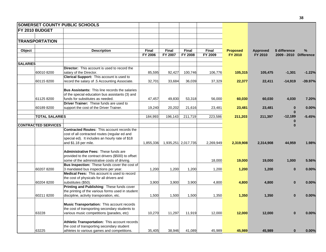|                 |                            | <b>SOMERSET COUNTY PUBLIC SCHOOLS</b>                                                     |                         |                  |                     |                  |                                   |                            |                                         |           |
|-----------------|----------------------------|-------------------------------------------------------------------------------------------|-------------------------|------------------|---------------------|------------------|-----------------------------------|----------------------------|-----------------------------------------|-----------|
|                 | FY 2010 BUDGET             |                                                                                           |                         |                  |                     |                  |                                   |                            |                                         |           |
|                 |                            |                                                                                           |                         |                  |                     |                  |                                   |                            |                                         |           |
|                 | <b>TRANSPORTATION</b>      |                                                                                           |                         |                  |                     |                  |                                   |                            |                                         |           |
|                 |                            |                                                                                           |                         |                  |                     |                  |                                   |                            |                                         |           |
| Object          |                            | <b>Description</b>                                                                        | <b>Final</b><br>FY 2006 | Final<br>FY 2007 | Final<br>FY 2008    | Final<br>FY 2009 | <b>Proposed</b><br><b>FY 2010</b> | <b>Approved</b><br>FY 2010 | \$ difference<br>2009 - 2010 Difference | %         |
| <b>SALARIES</b> |                            |                                                                                           |                         |                  |                     |                  |                                   |                            |                                         |           |
|                 |                            | <b>Director:</b> This account is used to record the                                       |                         |                  |                     |                  |                                   |                            |                                         |           |
|                 | 60010 8200                 | salary of the Director.                                                                   | 85,595                  | 92,427           | 100,746             | 106,776          | 105,315                           | 105,475                    | $-1,301$                                | $-1.22%$  |
|                 |                            | Clerical Support: This account is used to                                                 |                         |                  |                     |                  |                                   |                            |                                         |           |
|                 | 601158200                  | record the salary of .5 Accounting Associate.                                             | 32,701                  | 33,684           | 36,039              | 37,329           | 22,377                            | 22,411                     | $-14,919$                               | $-39.97%$ |
|                 |                            | <b>Bus Assistants: This line records the salaries</b>                                     |                         |                  |                     |                  |                                   |                            |                                         |           |
|                 |                            | of the special education bus assistants (3) and                                           |                         |                  |                     |                  |                                   |                            |                                         |           |
|                 | 61125 8200                 | funds for substitutes as needed.                                                          | 47,457                  | 49,830           | 53,318              | 56,000           | 60,030                            | 60,030                     | 4,030                                   | 7.20%     |
|                 |                            | Driver Trainer: These funds are used to                                                   |                         |                  |                     |                  |                                   |                            |                                         |           |
|                 | 601898200                  | support the cost of the Driver Trainer.                                                   | 19,240                  | 20,202           | 21,616              | 23,481           | 23,481                            | 23,481                     | $\bf{0}$                                | 0.00%     |
|                 | <b>TOTAL SALARIES</b>      |                                                                                           | 184,993                 | 196,143          | 211,719             | 223,586          | 211,203                           | 211,397                    | $\mathbf{0}$<br>$-12,189$               | $-5.45%$  |
|                 |                            |                                                                                           |                         |                  |                     |                  |                                   |                            |                                         |           |
|                 | <b>CONTRACTED SERVICES</b> |                                                                                           |                         |                  |                     |                  |                                   |                            | $\bf{0}$                                |           |
|                 |                            | Contracted Routes: This account records the                                               |                         |                  |                     |                  |                                   |                            |                                         |           |
|                 |                            | cost of all contracted routes (regular ed and                                             |                         |                  |                     |                  |                                   |                            |                                         |           |
|                 |                            | special ed). It includes an hourly rate of \$18                                           |                         |                  |                     |                  |                                   |                            |                                         |           |
|                 |                            | and \$1.18 per mile.                                                                      | 1,855,336               |                  | 1,935,251 2,017,735 | 2,269,949        | 2,319,908                         | 2,314,908                  | 44,959                                  | 1.98%     |
|                 |                            | Administrative Fees: These funds are                                                      |                         |                  |                     |                  |                                   |                            |                                         |           |
|                 |                            | provided to the contract drivers (\$500) to offset                                        |                         |                  |                     |                  |                                   |                            |                                         |           |
|                 |                            | some of the administrative costs of driving.                                              |                         |                  |                     | 18,000           | 19,000                            | 19,000                     | 1,000                                   | 5.56%     |
|                 |                            | Bus Inspection: These funds cover the cost of                                             |                         |                  |                     |                  |                                   |                            |                                         |           |
|                 | 60207 8200                 | 3 mandated bus inspections per year.                                                      | 1,200                   | 1,200            | 1,200               | 1,200            | 1,200                             | 1,200                      | $\bf{0}$                                | 0.00%     |
|                 |                            | Medical Fees: This account is used to record                                              |                         |                  |                     |                  |                                   |                            |                                         |           |
|                 |                            | the cost of physicals for all drivers and                                                 |                         |                  |                     |                  |                                   |                            |                                         |           |
|                 | 60204 8200                 | substitutes (\$50).                                                                       | 3,900                   | 3,900            | 3,900               | 4,800            | 4,800                             | 4,800                      | $\mathbf{0}$                            | 0.00%     |
|                 |                            | Printing and Publishing: These funds cover                                                |                         |                  |                     |                  |                                   |                            |                                         |           |
|                 |                            | the printing of the various forms used in student                                         |                         |                  |                     |                  |                                   |                            |                                         |           |
|                 | 60211 8200                 | discipline, activity transporation, etc.                                                  | 1,500                   | 1,500            | 1,500               | 1,350            | 1,350                             | 1,350                      | $\bf{0}$                                | 0.00%     |
|                 |                            | <b>Music Transportation:</b> This account records                                         |                         |                  |                     |                  |                                   |                            |                                         |           |
|                 |                            | the cost of transporting secondary students to                                            |                         |                  |                     |                  |                                   |                            |                                         |           |
|                 | 63228                      | various music competitions (parades, etc)                                                 | 10,270                  | 11,297           | 11,919              | 12,000           | 12,000                            | 12,000                     | $\bf{0}$                                | 0.00%     |
|                 |                            |                                                                                           |                         |                  |                     |                  |                                   |                            |                                         |           |
|                 |                            | Athletic Transportation: This account records                                             |                         |                  |                     |                  |                                   |                            |                                         |           |
|                 | 63225                      | the cost of transporting secondary student<br>athletes to various games and competitions. | 35,405                  | 38.946           | 41,089              | 45,989           | 45.989                            | 45.989                     | $\bf{0}$                                | 0.00%     |
|                 |                            |                                                                                           |                         |                  |                     |                  |                                   |                            |                                         |           |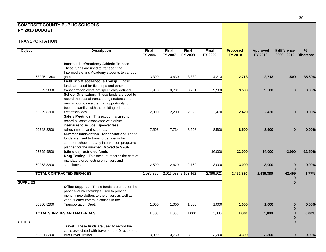|                 |                       | <b>SOMERSET COUNTY PUBLIC SCHOOLS</b>                                                                                                                                             |                         |                                |                                |                         |                            |                     |                                         |           |
|-----------------|-----------------------|-----------------------------------------------------------------------------------------------------------------------------------------------------------------------------------|-------------------------|--------------------------------|--------------------------------|-------------------------|----------------------------|---------------------|-----------------------------------------|-----------|
|                 | FY 2010 BUDGET        |                                                                                                                                                                                   |                         |                                |                                |                         |                            |                     |                                         |           |
|                 |                       |                                                                                                                                                                                   |                         |                                |                                |                         |                            |                     |                                         |           |
|                 | <b>TRANSPORTATION</b> |                                                                                                                                                                                   |                         |                                |                                |                         |                            |                     |                                         |           |
|                 |                       |                                                                                                                                                                                   |                         |                                |                                |                         |                            |                     |                                         |           |
| Object          |                       | <b>Description</b>                                                                                                                                                                | <b>Final</b><br>FY 2006 | <b>Final</b><br><b>FY 2007</b> | <b>Final</b><br><b>FY 2008</b> | <b>Final</b><br>FY 2009 | <b>Proposed</b><br>FY 2010 | Approved<br>FY 2010 | \$ difference<br>2009 - 2010 Difference | %         |
|                 |                       | Intermediate/Academy Athletic Transp:                                                                                                                                             |                         |                                |                                |                         |                            |                     |                                         |           |
|                 |                       | These funds are used to transport the<br>Intermediate and Academy students to various                                                                                             |                         |                                |                                |                         |                            |                     |                                         |           |
|                 | 63225 1300            | games.                                                                                                                                                                            | 3,300                   | 3,630                          | 3,830                          | 4,213                   | 2,713                      | 2,713               | $-1,500$                                | -35.60%   |
|                 |                       | Field Trip/Miscellaneous Transp: These<br>funds are used for field trips and other                                                                                                |                         |                                |                                |                         |                            |                     |                                         |           |
|                 | 63299 9800            | transportation costs not specifically defined.                                                                                                                                    | 7,910                   | 8,701                          | 8,701                          | 9,500                   | 9,500                      | 9,500               | $\bf{0}$                                | 0.00%     |
|                 |                       | School Orientation: These funds are used to<br>record the cost of transporting students to a<br>new school to give them an opportunity to                                         |                         |                                |                                |                         |                            |                     |                                         |           |
|                 | 63299 8200            | become familiar with the building prior to the<br>first official day.                                                                                                             | 2,000                   | 2,200                          | 2,320                          |                         | 2,420                      | 2,420               | $\bf{0}$                                |           |
|                 |                       | Safety Meetings: This account is used to<br>record all costs associated with driver<br>inservices to include: speaker fees;                                                       |                         |                                |                                | 2,420                   |                            |                     |                                         | 0.00%     |
|                 | 60248 8200            | refreshments; and stipends.                                                                                                                                                       | 7,508                   | 7,734                          | 8,508                          | 8,500                   | 8,500                      | 8,500               | $\bf{0}$                                | 0.00%     |
|                 |                       | Summer Intervention Transportation: These<br>funds are used to transport students for<br>summer school and any intervention programs<br>planned for the summer. Moved to SFSF     |                         |                                |                                |                         |                            |                     |                                         |           |
|                 | 63299 9800            | (stimulus) restricted funds                                                                                                                                                       |                         |                                |                                | 16,000                  | 22,000                     | 14,000              | $-2,000$                                | $-12.50%$ |
|                 | 60253 8200            | Drug Testing: This account records the cost of<br>mandatory drug testing on drivers and<br>substitutes.                                                                           | 2,500                   | 2,629                          | 2,760                          | 3,000                   | 3,000                      | 3,000               | $\bf{0}$                                | 0.00%     |
|                 |                       | <b>TOTAL CONTRACTED SERVICES</b>                                                                                                                                                  | 1,930,829               |                                | 2,016,988 2,103,462            | 2,396,921               | 2,452,380                  | 2,439,380           | $\bf{0}$<br>42,459                      | 1.77%     |
|                 |                       |                                                                                                                                                                                   |                         |                                |                                |                         |                            |                     | $\bf{0}$                                |           |
| <b>SUPPLIES</b> |                       |                                                                                                                                                                                   |                         |                                |                                |                         |                            |                     | $\bf{0}$                                |           |
|                 |                       | Office Supplies: These funds are used for the<br>paper and ink cartridges used to provide<br>monthly newsletters to the drivers as well as<br>various other communications in the |                         |                                |                                |                         |                            |                     |                                         |           |
|                 | 60300 8200            | <b>Transportation Dept.</b>                                                                                                                                                       | 1,000                   | 1,000                          | 1,000                          | 1,000                   | 1,000                      | 1,000               | 0                                       | 0.00%     |
|                 |                       |                                                                                                                                                                                   |                         |                                |                                |                         |                            |                     | $\bf{0}$                                |           |
|                 |                       | <b>TOTAL SUPPLIES AND MATERIALS</b>                                                                                                                                               | 1,000                   | 1,000                          | 1,000                          | 1,000                   | 1,000                      | 1,000               |                                         | 0.00%     |
|                 |                       |                                                                                                                                                                                   |                         |                                |                                |                         |                            |                     |                                         |           |
| <b>OTHER</b>    |                       | <b>Travel:</b> These funds are used to record the<br>costs associated with travel for the Director and                                                                            |                         |                                |                                |                         |                            |                     | $\bf{0}$                                |           |
|                 | 60501 8200            | Bus Driver Trainer.                                                                                                                                                               | 3,000                   | 3,750                          | 3,000                          | 3,300                   | 3,300                      | 3,300               | $\bf{0}$                                | 0.00%     |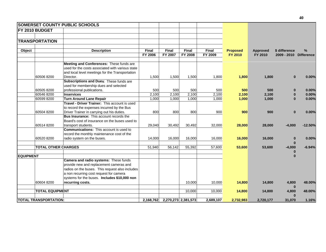|                  |                              | <b>SOMERSET COUNTY PUBLIC SCHOOLS</b>            |              |              |                     |              |                 |                 |                        |           |
|------------------|------------------------------|--------------------------------------------------|--------------|--------------|---------------------|--------------|-----------------|-----------------|------------------------|-----------|
|                  | <b>FY 2010 BUDGET</b>        |                                                  |              |              |                     |              |                 |                 |                        |           |
|                  |                              |                                                  |              |              |                     |              |                 |                 |                        |           |
|                  | <b>TRANSPORTATION</b>        |                                                  |              |              |                     |              |                 |                 |                        |           |
| Object           |                              | <b>Description</b>                               | <b>Final</b> | <b>Final</b> | <b>Final</b>        | <b>Final</b> | <b>Proposed</b> | <b>Approved</b> | \$ difference          | %         |
|                  |                              |                                                  | FY 2006      | FY 2007      | <b>FY 2008</b>      | FY 2009      | <b>FY 2010</b>  | FY 2010         | 2009 - 2010 Difference |           |
|                  |                              |                                                  |              |              |                     |              |                 |                 |                        |           |
|                  |                              | Meeting and Conferences: These funds are         |              |              |                     |              |                 |                 |                        |           |
|                  |                              | used for the costs associated with various state |              |              |                     |              |                 |                 |                        |           |
|                  |                              | and local level meetings for the Transportation  |              |              |                     |              |                 |                 |                        |           |
|                  | 60506 8200                   | Director.                                        | 1,500        | 1,500        | 1,500               | 1,800        | 1,800           | 1,800           | $\bf{0}$               | 0.00%     |
|                  |                              | Subscriptions and Dues: These funds are          |              |              |                     |              |                 |                 |                        |           |
|                  |                              | used for membership dues and selected            |              |              |                     |              |                 |                 |                        |           |
|                  | 605058200                    | professional publications.                       | 500          | 500          | 500                 | 500          | 500             | 500             | $\bf{0}$               | 0.00%     |
|                  | 60546 8200                   | <b>Inservices</b>                                | 2,100        | 2,100        | 2,100               | 2,100        | 2,100           | 2,100           | 0                      | 0.00%     |
|                  | 60599 8200                   | <b>Turn Around Lane Repair</b>                   | 1,000        | 1,000        | 1,000               | 1,000        | 1,000           | 1,000           | $\bf{0}$               | 0.00%     |
|                  |                              | Travel - Driver Trainer: This account is used    |              |              |                     |              |                 |                 |                        |           |
|                  |                              | to record the expenses incurred by the Bus       |              |              |                     |              |                 |                 |                        |           |
|                  | 60504 8200                   | Driver Trainer in carrying out his duties.       | 800          | 800          | 800                 | 900          | 900             | 900             | $\bf{0}$               | 0.00%     |
|                  |                              | <b>Bus Insurance:</b> This account records the   |              |              |                     |              |                 |                 |                        |           |
|                  |                              | Board's cost of insurance on the buses used to   |              |              |                     |              |                 |                 |                        |           |
|                  | 60514 8200                   | transport students.                              | 29,040       | 30,492       | 30,492              | 32,000       | 28,000          | 28,000          | $-4,000$               | $-12.50%$ |
|                  |                              | <b>Communications:</b> This account is used to   |              |              |                     |              |                 |                 |                        |           |
|                  |                              | record the monthly maintenance cost of the       |              |              |                     |              |                 |                 |                        |           |
|                  | 60520 8200                   | radio system on the buses.                       | 14,000       | 16,000       | 16,000              | 16,000       | 16,000          | 16,000          | $\bf{0}$               | 0.00%     |
|                  |                              |                                                  |              |              |                     |              |                 |                 | $\bf{0}$               |           |
|                  | <b>TOTAL OTHER CHARGES</b>   |                                                  | 51,940       | 56,142       | 55,392              | 57,600       | 53,600          | 53,600          | $-4,000$               | $-6.94%$  |
|                  |                              |                                                  |              |              |                     |              |                 |                 | 0                      |           |
| <b>EQUIPMENT</b> |                              |                                                  |              |              |                     |              |                 |                 | $\bf{0}$               |           |
|                  |                              | Camera and radio systems: These funds            |              |              |                     |              |                 |                 |                        |           |
|                  |                              | provide new and replacement cameras and          |              |              |                     |              |                 |                 |                        |           |
|                  |                              | radios on the buses. This request also includes  |              |              |                     |              |                 |                 |                        |           |
|                  |                              | a non recurring cost request for camera          |              |              |                     |              |                 |                 |                        |           |
|                  |                              | systems for the buses. Includes \$10,000 non     |              |              |                     |              |                 |                 |                        |           |
|                  | 60604 8200                   | recurring costs.                                 |              |              | 10,000              | 10,000       | 14,800          | 14,800          | 4,800<br>$\bf{0}$      | 48.00%    |
|                  | <b>TOTAL EQUIPMENT</b>       |                                                  |              |              | 10.000              | 10,000       | 14,800          | 14,800          | 4,800                  | 48.00%    |
|                  |                              |                                                  |              |              |                     |              |                 |                 | $\bf{0}$               |           |
|                  | <b>TOTAL TRANSPORTATION:</b> |                                                  | 2,168,762    |              | 2,270,273 2,381,573 | 2,689,107    | 2,732,983       | 2,720,177       | 31,070                 | 1.16%     |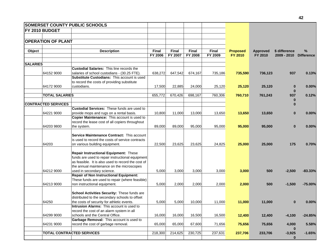|                 |                            | <b>SOMERSET COUNTY PUBLIC SCHOOLS</b>              |              |              |              |              |                 |                 |               |                   |
|-----------------|----------------------------|----------------------------------------------------|--------------|--------------|--------------|--------------|-----------------|-----------------|---------------|-------------------|
|                 | <b>FY 2010 BUDGET</b>      |                                                    |              |              |              |              |                 |                 |               |                   |
|                 |                            |                                                    |              |              |              |              |                 |                 |               |                   |
|                 | <b>OPERATION OF PLANT</b>  |                                                    |              |              |              |              |                 |                 |               |                   |
|                 |                            |                                                    |              |              |              |              |                 |                 |               |                   |
| Object          |                            | <b>Description</b>                                 | <b>Final</b> | <b>Final</b> | <b>Final</b> | <b>Final</b> | <b>Proposed</b> | <b>Approved</b> | \$ difference | %                 |
|                 |                            |                                                    | FY 2006      | FY 2007      | FY 2008      | FY 2009      | FY 2010         | FY 2010         | 2009 - 2010   | <b>Difference</b> |
| <b>SALARIES</b> |                            |                                                    |              |              |              |              |                 |                 |               |                   |
|                 |                            | <b>Custodial Salaries: This line records the</b>   |              |              |              |              |                 |                 |               |                   |
|                 | 64152 9000                 | salaries of school custodians - (30.25 FTE).       | 638,272      | 647,542      | 674,167      | 735,186      | 735,590         | 736,123         | 937           | 0.13%             |
|                 |                            | Substitute Custodians: This account is used        |              |              |              |              |                 |                 |               |                   |
|                 |                            | to record the costs of providing substitute        |              |              |              |              |                 |                 |               |                   |
|                 | 64172 9000                 | custodians.                                        | 17,500       | 22,885       | 24,000       | 25,120       | 25,120          | 25,120          | $\bf{0}$      | 0.00%             |
|                 |                            |                                                    |              |              |              |              |                 |                 | $\bf{0}$      |                   |
|                 | <b>TOTAL SALARIES</b>      |                                                    | 655,772      | 670,426      | 698,167      | 760,306      | 760,710         | 761,243         | 937           | 0.12%             |
|                 |                            |                                                    |              |              |              |              |                 |                 | $\bf{0}$      |                   |
|                 | <b>CONTRACTED SERVICES</b> |                                                    |              |              |              |              |                 |                 | 0             |                   |
|                 |                            | <b>Custodial Services: These funds are used to</b> |              |              |              |              |                 |                 |               |                   |
|                 | 64221 9000                 | provide mops and rugs on a rental basis.           | 10,800       | 11,000       | 13,000       | 13,650       | 13,650          | 13,650          | $\bf{0}$      | 0.00%             |
|                 |                            | Copier Maintenance: This account is used to        |              |              |              |              |                 |                 |               |                   |
|                 |                            | record the lease cost of all copiers throughout    |              |              |              |              |                 |                 |               |                   |
|                 | 64203 9800                 | the system.                                        | 89,000       | 89.000       | 95,000       | 95,000       | 95,000          | 95,000          | $\bf{0}$      | 0.00%             |
|                 |                            |                                                    |              |              |              |              |                 |                 |               |                   |
|                 |                            | Service Maintenance Contract: This account         |              |              |              |              |                 |                 |               |                   |
|                 |                            | is used to record the costs of service contracts   |              |              |              |              |                 |                 |               |                   |
|                 | 64203                      | on various building equipment.                     | 22,500       | 23,625       | 23,625       | 24,825       | 25,000          | 25,000          | 175           | 0.70%             |
|                 |                            |                                                    |              |              |              |              |                 |                 |               |                   |
|                 |                            | Repair Instructional Equipment: These              |              |              |              |              |                 |                 |               |                   |
|                 |                            | funds are used to repair instructional equipment   |              |              |              |              |                 |                 |               |                   |
|                 |                            | as feasible. It is also used to record the cost of |              |              |              |              |                 |                 |               |                   |
|                 |                            | the annual maintenance on the microscopes          |              |              |              |              |                 |                 |               |                   |
|                 | 64212 9000                 | used in secondary science.                         | 5,000        | 3,000        | 3,000        | 3,000        | 3,000           | 500             | $-2,500$      | $-83.33%$         |
|                 |                            | <b>Repair of Non Instructional Equipment:</b>      |              |              |              |              |                 |                 |               |                   |
|                 |                            | These funds are used to repair (where feasible)    |              |              |              |              |                 |                 |               |                   |
|                 | 64213 9000                 | non instructional equipment.                       | 5,000        | 2,000        | 2,000        | 2,000        | 2,000           | 500             | $-1,500$      | $-75.00%$         |
|                 |                            |                                                    |              |              |              |              |                 |                 |               |                   |
|                 |                            | School Activities Security: These funds are        |              |              |              |              |                 |                 |               |                   |
|                 |                            | distributed to the secondary schools to offset     |              |              |              |              |                 |                 |               |                   |
|                 | 64250                      | the costs of security for athletic events.         | 5,000        | 5,000        | 10,000       | 11,000       | 11,000          | 11,000          | 0             | 0.00%             |
|                 |                            | Intrusion Alarms: This account is used to          |              |              |              |              |                 |                 |               |                   |
|                 |                            | record the cost of an alarm system in all          |              |              |              |              |                 |                 |               |                   |
|                 | 64299 9000                 | schools and the Central Office.                    | 16,000       | 16,000       | 16,500       | 16,500       | 12,400          | 12,400          | $-4,100$      | $-24.85%$         |
|                 |                            | Garbage Removal: This account is used to           |              |              |              |              |                 |                 |               |                   |
|                 | 64231 9000                 | record the cost of garbage removal.                | 65,000       | 65,000       | 67,600       | 71,656       | 75,656          | 75,656          | 4,000         | 5.58%             |
|                 |                            |                                                    |              |              |              |              |                 |                 | $\bf{0}$      |                   |
|                 |                            | <b>TOTAL CONTRACTED SERVICES</b>                   | 218,300      | 214,625      | 230,725      | 237,631      | 237,706         | 233,706         | $-3,925$      | $-1.65%$          |
|                 |                            |                                                    |              |              |              |              |                 |                 | $\bf{0}$      |                   |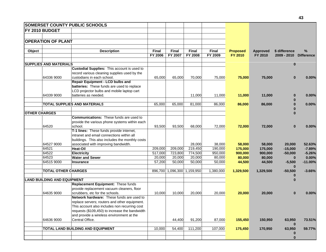|                      |                                    | <b>SOMERSET COUNTY PUBLIC SCHOOLS</b>           |              |              |                             |              |                 |                 |               |                   |
|----------------------|------------------------------------|-------------------------------------------------|--------------|--------------|-----------------------------|--------------|-----------------|-----------------|---------------|-------------------|
|                      | <b>FY 2010 BUDGET</b>              |                                                 |              |              |                             |              |                 |                 |               |                   |
|                      |                                    |                                                 |              |              |                             |              |                 |                 |               |                   |
|                      | <b>OPERATION OF PLANT</b>          |                                                 |              |              |                             |              |                 |                 |               |                   |
|                      |                                    |                                                 |              |              |                             |              |                 |                 |               |                   |
| Object               |                                    | <b>Description</b>                              | <b>Final</b> | <b>Final</b> | <b>Final</b>                | <b>Final</b> | <b>Proposed</b> | <b>Approved</b> | \$ difference | $\%$              |
|                      |                                    |                                                 | FY 2006      | FY 2007      | <b>FY 2008</b>              | FY 2009      | <b>FY 2010</b>  | FY 2010         | 2009 - 2010   | <b>Difference</b> |
|                      | <b>SUPPLIES AND MATERIALS</b>      |                                                 |              |              |                             |              |                 |                 | $\bf{0}$      |                   |
|                      |                                    | Custodial Supplies: This account is used to     |              |              |                             |              |                 |                 |               |                   |
|                      |                                    | record various cleaning supplies used by the    |              |              |                             |              |                 |                 |               |                   |
|                      | 64336 9000                         | custodians in each school.                      | 65,000       | 65.000       | 70,000                      | 75,000       | 75,000          | 75,000          | $\bf{0}$      | 0.00%             |
|                      |                                    | <b>Repair Equipment - LCD bulbs and</b>         |              |              |                             |              |                 |                 |               |                   |
|                      |                                    | batteries: These funds are used to replace      |              |              |                             |              |                 |                 |               |                   |
|                      |                                    | LCD projector bulbs and mobile laptop cart      |              |              |                             |              |                 |                 |               |                   |
|                      | 64339 9000                         | batteries as needed.                            |              |              | 11,000                      | 11,000       | 11,000          | 11,000          |               | 0.00%             |
|                      |                                    |                                                 |              |              |                             |              |                 |                 |               |                   |
|                      |                                    | <b>TOTAL SUPPLIES AND MATERIALS</b>             | 65,000       | 65,000       | 81,000                      | 86,000       | 86,000          | 86,000          | $\bf{0}$      | $0.00\%$          |
|                      |                                    |                                                 |              |              |                             |              |                 |                 |               |                   |
| <b>OTHER CHARGES</b> |                                    |                                                 |              |              |                             |              |                 |                 |               |                   |
|                      |                                    | <b>Communications:</b> These funds are used to  |              |              |                             |              |                 |                 |               |                   |
|                      |                                    | provide the various phone systems within each   |              |              |                             |              |                 |                 |               |                   |
|                      | 64520                              | school.                                         | 93,500       | 93,500       | 68,000                      | 72,000       | 72,000          | 72,000          | $\bf{0}$      | 0.00%             |
|                      |                                    | T-1 lines: These funds provide internet,        |              |              |                             |              |                 |                 |               |                   |
|                      |                                    | intranet and email connections within all       |              |              |                             |              |                 |                 |               |                   |
|                      |                                    | buildings. This also includes the monthly costs |              |              |                             |              |                 |                 |               |                   |
|                      | 64527 9000                         | associated with improving bandwidth.            |              |              | 28,000                      | 38,000       | 58,000          | 58,000          | 20,000        | 52.63%            |
|                      | 64521                              | <b>Heat-Oil</b>                                 | 209,000      | 209,000      | 219,450                     | 190,000      | 175,000         | 175,000         | $-15,000$     | $-7.89%$          |
|                      | 64522                              | <b>Electricity</b>                              | 517,000      | 723,800      | 774,500                     | 950,000      | 900,000         | 900,000         | $-50,000$     | $-5.26%$          |
|                      | 64523                              | <b>Water and Sewer</b>                          | 20,000       | 20,000       | 20,000                      | 80,000       | 80,000          | 80,000          | $\bf{0}$      | 0.00%             |
|                      | 64515 9000                         | <b>Insurance</b>                                | 57,200       | 50,000       | 50,000                      | 50,000       | 44,500          | 44,500          | $-5,500$      | $-11.00%$         |
|                      |                                    |                                                 |              |              |                             |              |                 |                 | $\bf{0}$      |                   |
|                      | <b>TOTAL OTHER CHARGES</b>         |                                                 |              |              | 896,700 1,096,300 1,159,950 | 1,380,000    | 1,329,500       | 1,329,500       | $-50,500$     | $-3.66%$          |
|                      |                                    |                                                 |              |              |                             |              |                 |                 |               |                   |
|                      | <b>LAND BUILDING AND EQUIPMENT</b> |                                                 |              |              |                             |              |                 |                 | $\bf{0}$      |                   |
|                      |                                    | Replacement Equipment: These funds              |              |              |                             |              |                 |                 |               |                   |
|                      |                                    | provide replacement vacuum cleaners, floor      |              |              |                             |              |                 |                 |               |                   |
|                      | 64635 9000                         | scrubbers, etc for the schools.                 | 10,000       | 10,000       | 20,000                      | 20,000       | 20,000          | 20,000          | $\bf{0}$      | 0.00%             |
|                      |                                    | Network hardware: These funds are used to       |              |              |                             |              |                 |                 |               |                   |
|                      |                                    | replace servers; routers and other equipment.   |              |              |                             |              |                 |                 |               |                   |
|                      |                                    | This account also includes non recurring cost   |              |              |                             |              |                 |                 |               |                   |
|                      |                                    | requests (\$109,450) to increase the bandwidth  |              |              |                             |              |                 |                 |               |                   |
|                      |                                    | and provide a wireless environment at the       |              |              |                             |              |                 |                 |               |                   |
|                      | 64636 9000                         | Central Office.                                 |              | 44,400       | 91,200                      | 87,000       | 155,450         | 150,950         | 63,950        | 73.51%            |
|                      |                                    |                                                 |              |              |                             |              |                 |                 | $\bf{0}$      |                   |
|                      |                                    | TOTAL LAND BUILDING AND EQUIPMENT               | 10,000       | 54,400       | 111,200                     | 107,000      | 175,450         | 170,950         | 63,950        | 59.77%            |
|                      |                                    |                                                 |              |              |                             |              |                 |                 |               |                   |
|                      |                                    |                                                 |              |              |                             |              |                 |                 | $\bf{0}$      |                   |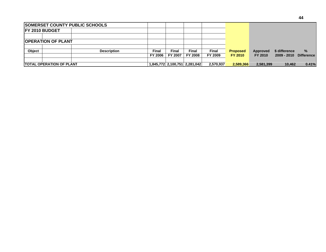|                        |                                  | <b>SOMERSET COUNTY PUBLIC SCHOOLS</b> |                |         |                               |                |                 |           |               |                   |
|------------------------|----------------------------------|---------------------------------------|----------------|---------|-------------------------------|----------------|-----------------|-----------|---------------|-------------------|
| <b>IFY 2010 BUDGET</b> |                                  |                                       |                |         |                               |                |                 |           |               |                   |
|                        |                                  |                                       |                |         |                               |                |                 |           |               |                   |
|                        | <b>IOPERATION OF PLANT</b>       |                                       |                |         |                               |                |                 |           |               |                   |
|                        |                                  |                                       |                |         |                               |                |                 |           |               |                   |
| <b>Object</b>          |                                  | <b>Description</b>                    | Final          | Final   | Final                         | Final          | <b>Proposed</b> | Approved  | \$ difference | %                 |
|                        |                                  |                                       | <b>FY 2006</b> | FY 2007 | <b>FY 2008</b>                | <b>FY 2009</b> | <b>FY 2010</b>  | FY 2010   | $2009 - 2010$ | <b>Difference</b> |
|                        |                                  |                                       |                |         |                               |                |                 |           |               |                   |
|                        | <b>ITOTAL OPERATION OF PLANT</b> |                                       |                |         | 1,845,772 2,100,751 2,281,042 | 2,570,937      | 2,589,366       | 2,581,399 | 10.462        | 0.41%             |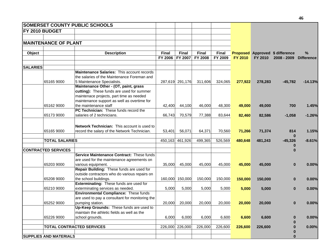|                 |                               | <b>SOMERSET COUNTY PUBLIC SCHOOLS</b>              |              |                 |                |              |                |         |                                        |                   |
|-----------------|-------------------------------|----------------------------------------------------|--------------|-----------------|----------------|--------------|----------------|---------|----------------------------------------|-------------------|
|                 | <b>FY 2010 BUDGET</b>         |                                                    |              |                 |                |              |                |         |                                        |                   |
|                 |                               |                                                    |              |                 |                |              |                |         |                                        |                   |
|                 | <b>MAINTENANCE OF PLANT</b>   |                                                    |              |                 |                |              |                |         |                                        |                   |
|                 |                               |                                                    |              |                 |                |              |                |         |                                        |                   |
| Object          |                               | <b>Description</b>                                 | <b>Final</b> | <b>Final</b>    | <b>Final</b>   | <b>Final</b> |                |         | <b>Proposed Approved \$ difference</b> | %                 |
|                 |                               |                                                    | FY 2006      | FY 2007         | <b>FY 2008</b> | FY 2009      | <b>FY 2010</b> | FY 2010 | $2008 - 2009$                          | <b>Difference</b> |
|                 |                               |                                                    |              |                 |                |              |                |         |                                        |                   |
| <b>SALARIES</b> |                               |                                                    |              |                 |                |              |                |         |                                        |                   |
|                 |                               | Maintenance Salaries: This account records         |              |                 |                |              |                |         |                                        |                   |
|                 |                               | the salaries of the Maintenance Foreman and        |              |                 |                |              |                |         |                                        |                   |
|                 | 65165 9000                    | 5 Maintenance Specialists.                         |              | 287,619 291,176 | 311,606        | 324,065      | 277,922        | 278,283 | $-45,782$                              | $-14.13%$         |
|                 |                               | Maintenance Other - (OT, paint, grass              |              |                 |                |              |                |         |                                        |                   |
|                 |                               | cutting): These funds are used for summer          |              |                 |                |              |                |         |                                        |                   |
|                 |                               | maintenace projects, part time as needed           |              |                 |                |              |                |         |                                        |                   |
|                 |                               | maintenance support as well as overtime for        |              |                 |                |              |                |         |                                        |                   |
|                 | 65162 9000                    | the maintenance staff                              | 42,400       | 44,100          | 46,000         | 48,300       | 49,000         | 49,000  | 700                                    | 1.45%             |
|                 |                               | PC Technician: These funds record the              |              |                 |                |              |                |         |                                        |                   |
|                 | 65173 9000                    | salaries of 2 technicians.                         | 66,743       | 70,579          | 77,388         | 83,644       | 82,460         | 82,586  | $-1,058$                               | $-1.26%$          |
|                 |                               |                                                    |              |                 |                |              |                |         |                                        |                   |
|                 |                               | <b>Network Technician:</b> This account is used to |              |                 |                |              |                |         |                                        |                   |
|                 | 65165 9000                    | record the salary of the Network Technician.       | 53,401       | 56,071          | 64,371         | 70,560       | 71,266         | 71,374  | 814                                    | 1.15%             |
|                 | <b>TOTAL SALARIES</b>         |                                                    |              |                 |                |              |                |         | $\bf{0}$                               |                   |
|                 |                               |                                                    |              | 450,163 461,926 | 499,365        | 526,569      | 480,648        | 481,243 | $-45,326$                              | $-8.61%$          |
|                 | <b>CONTRACTED SERVICES</b>    |                                                    |              |                 |                |              |                |         | $\Omega$                               |                   |
|                 |                               | Service Maintenance Contract: These funds          |              |                 |                |              |                |         |                                        |                   |
|                 |                               | are used for the maintenance agreements on         |              |                 |                |              |                |         |                                        |                   |
|                 | 65203 9000                    | various equipment.                                 | 35,000       | 45,000          | 45,000         | 45,000       | 45,000         | 45,000  | $\bf{0}$                               | 0.00%             |
|                 |                               | Repair Building: These funds are used for          |              |                 |                |              |                |         |                                        |                   |
|                 |                               | outside contractors who do various repairs on      |              |                 |                |              |                |         |                                        |                   |
|                 | 65208 9000                    | the school buildings.                              |              | 160,000 150,000 | 150,000        | 150,000      | 150,000        | 150,000 | $\bf{0}$                               | 0.00%             |
|                 |                               | Exterminating: These funds are used for            |              |                 |                |              |                |         |                                        |                   |
|                 | 65210 9000                    | exterminating services as needed.                  | 5,000        | 5,000           | 5,000          | 5,000        | 5,000          | 5,000   | $\bf{0}$                               | 0.00%             |
|                 |                               | <b>Environmental Compliance: These funds</b>       |              |                 |                |              |                |         |                                        |                   |
|                 |                               | are used to pay a consultant for monitoring the    |              |                 |                |              |                |         |                                        |                   |
|                 | 65252 9000                    | pumping station.                                   | 20,000       | 20,000          | 20,000         | 20,000       | 20,000         | 20,000  | $\bf{0}$                               | 0.00%             |
|                 |                               | Up-Keep Grounds: These funds are used to           |              |                 |                |              |                |         |                                        |                   |
|                 |                               | maintain the athletic fields as well as the        |              |                 |                |              |                |         |                                        |                   |
|                 | 65226 9000                    | school grounds.                                    | 6,000        | 6,000           | 6,000          | 6,600        | 6,600          | 6,600   | $\bf{0}$                               | 0.00%             |
|                 |                               |                                                    |              |                 |                |              |                |         |                                        |                   |
|                 |                               | <b>TOTAL CONTRACTED SERVICES</b>                   |              | 226,000 226,000 | 226,000        | 226,600      | 226,600        | 226,600 | $\bf{0}$                               | 0.00%             |
|                 |                               |                                                    |              |                 |                |              |                |         | $\bf{0}$                               |                   |
|                 | <b>SUPPLIES AND MATERIALS</b> |                                                    |              |                 |                |              |                |         | $\bf{0}$                               |                   |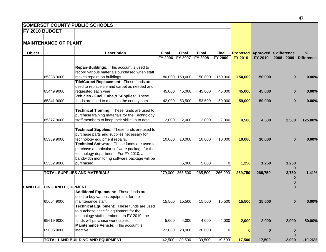| <b>MAINTENANCE OF PLANT</b><br>Object<br><b>Description</b><br>Final<br><b>Final</b><br>Final<br>Final<br>%<br><b>Proposed Approved \$ difference</b><br>FY 2006<br>FY 2007<br><b>FY 2008</b><br>FY 2009<br><b>FY 2010</b><br>FY 2010<br>2008 - 2009<br><b>Difference</b><br>Repair-Buildings: This account is used to<br>record various materials purchased when staff<br>makes repairs on buildings.<br>150,000<br>65338 9000<br>180,000<br>150,000<br>150,000<br>150,000<br>150,000<br>0.00%<br>$\bf{0}$<br>Tile/Carpet Replacement: These funds are<br>used to replace tile and carpet as needed and<br>requested each year.<br>45,000<br>65449 9000<br>45,000<br>45,000<br>45,000<br>45,000<br>45,000<br>0.00%<br>$\bf{0}$<br>Vehicles - Fuel, Lube,& Supplies: These<br>65341 9000<br>funds are used to maintain the county cars.<br>42,000<br>53,500<br>59,000<br>59,000<br>0.00%<br>53,500<br>59,000<br>$\bf{0}$<br>Technical Training: These funds are used to<br>purchase training materials for the Technology<br>65377 9000<br>staff members to keep their skills up to date.<br>2,000<br>2,000<br>4,500<br>2,500<br>125.00%<br>2,000<br>2,000<br>4,500<br>Technical Supplies: These funds are used to<br>purchase parts and supplies necessary for<br>65339 9000<br>technology equipment repairs.<br>10,000<br>10,000<br>10,000<br>10,000<br>10,000<br>10,000<br>0.00%<br>$\bf{0}$<br>Technical Software: These funds are used to<br>purchase a particular software package for the<br>technology department. For FY 2010, a<br>bandwidth monitoring software package will be<br>purchased.<br>65382 9000<br>5,000<br>5,000<br>$\overline{0}$<br>1,250<br>1,250<br>1,250<br><b>TOTAL SUPPLIES AND MATERIALS</b><br>265,500<br>265,500<br>269,750<br>279,000<br>266,000<br>269,750<br>3,750<br><b>LAND BUILDING AND EQUIPMENT</b><br>Additional Equipment: These funds are |                       | <b>SOMERSET COUNTY PUBLIC SCHOOLS</b> |  |  |  |  |
|----------------------------------------------------------------------------------------------------------------------------------------------------------------------------------------------------------------------------------------------------------------------------------------------------------------------------------------------------------------------------------------------------------------------------------------------------------------------------------------------------------------------------------------------------------------------------------------------------------------------------------------------------------------------------------------------------------------------------------------------------------------------------------------------------------------------------------------------------------------------------------------------------------------------------------------------------------------------------------------------------------------------------------------------------------------------------------------------------------------------------------------------------------------------------------------------------------------------------------------------------------------------------------------------------------------------------------------------------------------------------------------------------------------------------------------------------------------------------------------------------------------------------------------------------------------------------------------------------------------------------------------------------------------------------------------------------------------------------------------------------------------------------------------------------------------------------------------------------------------------------------------|-----------------------|---------------------------------------|--|--|--|--|
|                                                                                                                                                                                                                                                                                                                                                                                                                                                                                                                                                                                                                                                                                                                                                                                                                                                                                                                                                                                                                                                                                                                                                                                                                                                                                                                                                                                                                                                                                                                                                                                                                                                                                                                                                                                                                                                                                        | <b>FY 2010 BUDGET</b> |                                       |  |  |  |  |
|                                                                                                                                                                                                                                                                                                                                                                                                                                                                                                                                                                                                                                                                                                                                                                                                                                                                                                                                                                                                                                                                                                                                                                                                                                                                                                                                                                                                                                                                                                                                                                                                                                                                                                                                                                                                                                                                                        |                       |                                       |  |  |  |  |
|                                                                                                                                                                                                                                                                                                                                                                                                                                                                                                                                                                                                                                                                                                                                                                                                                                                                                                                                                                                                                                                                                                                                                                                                                                                                                                                                                                                                                                                                                                                                                                                                                                                                                                                                                                                                                                                                                        |                       |                                       |  |  |  |  |
|                                                                                                                                                                                                                                                                                                                                                                                                                                                                                                                                                                                                                                                                                                                                                                                                                                                                                                                                                                                                                                                                                                                                                                                                                                                                                                                                                                                                                                                                                                                                                                                                                                                                                                                                                                                                                                                                                        |                       |                                       |  |  |  |  |
|                                                                                                                                                                                                                                                                                                                                                                                                                                                                                                                                                                                                                                                                                                                                                                                                                                                                                                                                                                                                                                                                                                                                                                                                                                                                                                                                                                                                                                                                                                                                                                                                                                                                                                                                                                                                                                                                                        |                       |                                       |  |  |  |  |
|                                                                                                                                                                                                                                                                                                                                                                                                                                                                                                                                                                                                                                                                                                                                                                                                                                                                                                                                                                                                                                                                                                                                                                                                                                                                                                                                                                                                                                                                                                                                                                                                                                                                                                                                                                                                                                                                                        |                       |                                       |  |  |  |  |
|                                                                                                                                                                                                                                                                                                                                                                                                                                                                                                                                                                                                                                                                                                                                                                                                                                                                                                                                                                                                                                                                                                                                                                                                                                                                                                                                                                                                                                                                                                                                                                                                                                                                                                                                                                                                                                                                                        |                       |                                       |  |  |  |  |
|                                                                                                                                                                                                                                                                                                                                                                                                                                                                                                                                                                                                                                                                                                                                                                                                                                                                                                                                                                                                                                                                                                                                                                                                                                                                                                                                                                                                                                                                                                                                                                                                                                                                                                                                                                                                                                                                                        |                       |                                       |  |  |  |  |
| 1.41%                                                                                                                                                                                                                                                                                                                                                                                                                                                                                                                                                                                                                                                                                                                                                                                                                                                                                                                                                                                                                                                                                                                                                                                                                                                                                                                                                                                                                                                                                                                                                                                                                                                                                                                                                                                                                                                                                  |                       |                                       |  |  |  |  |
|                                                                                                                                                                                                                                                                                                                                                                                                                                                                                                                                                                                                                                                                                                                                                                                                                                                                                                                                                                                                                                                                                                                                                                                                                                                                                                                                                                                                                                                                                                                                                                                                                                                                                                                                                                                                                                                                                        |                       |                                       |  |  |  |  |
|                                                                                                                                                                                                                                                                                                                                                                                                                                                                                                                                                                                                                                                                                                                                                                                                                                                                                                                                                                                                                                                                                                                                                                                                                                                                                                                                                                                                                                                                                                                                                                                                                                                                                                                                                                                                                                                                                        |                       |                                       |  |  |  |  |
|                                                                                                                                                                                                                                                                                                                                                                                                                                                                                                                                                                                                                                                                                                                                                                                                                                                                                                                                                                                                                                                                                                                                                                                                                                                                                                                                                                                                                                                                                                                                                                                                                                                                                                                                                                                                                                                                                        |                       |                                       |  |  |  |  |
|                                                                                                                                                                                                                                                                                                                                                                                                                                                                                                                                                                                                                                                                                                                                                                                                                                                                                                                                                                                                                                                                                                                                                                                                                                                                                                                                                                                                                                                                                                                                                                                                                                                                                                                                                                                                                                                                                        |                       |                                       |  |  |  |  |
|                                                                                                                                                                                                                                                                                                                                                                                                                                                                                                                                                                                                                                                                                                                                                                                                                                                                                                                                                                                                                                                                                                                                                                                                                                                                                                                                                                                                                                                                                                                                                                                                                                                                                                                                                                                                                                                                                        |                       |                                       |  |  |  |  |
|                                                                                                                                                                                                                                                                                                                                                                                                                                                                                                                                                                                                                                                                                                                                                                                                                                                                                                                                                                                                                                                                                                                                                                                                                                                                                                                                                                                                                                                                                                                                                                                                                                                                                                                                                                                                                                                                                        |                       |                                       |  |  |  |  |
|                                                                                                                                                                                                                                                                                                                                                                                                                                                                                                                                                                                                                                                                                                                                                                                                                                                                                                                                                                                                                                                                                                                                                                                                                                                                                                                                                                                                                                                                                                                                                                                                                                                                                                                                                                                                                                                                                        |                       |                                       |  |  |  |  |
|                                                                                                                                                                                                                                                                                                                                                                                                                                                                                                                                                                                                                                                                                                                                                                                                                                                                                                                                                                                                                                                                                                                                                                                                                                                                                                                                                                                                                                                                                                                                                                                                                                                                                                                                                                                                                                                                                        |                       |                                       |  |  |  |  |
|                                                                                                                                                                                                                                                                                                                                                                                                                                                                                                                                                                                                                                                                                                                                                                                                                                                                                                                                                                                                                                                                                                                                                                                                                                                                                                                                                                                                                                                                                                                                                                                                                                                                                                                                                                                                                                                                                        |                       |                                       |  |  |  |  |
|                                                                                                                                                                                                                                                                                                                                                                                                                                                                                                                                                                                                                                                                                                                                                                                                                                                                                                                                                                                                                                                                                                                                                                                                                                                                                                                                                                                                                                                                                                                                                                                                                                                                                                                                                                                                                                                                                        |                       |                                       |  |  |  |  |
|                                                                                                                                                                                                                                                                                                                                                                                                                                                                                                                                                                                                                                                                                                                                                                                                                                                                                                                                                                                                                                                                                                                                                                                                                                                                                                                                                                                                                                                                                                                                                                                                                                                                                                                                                                                                                                                                                        |                       |                                       |  |  |  |  |
|                                                                                                                                                                                                                                                                                                                                                                                                                                                                                                                                                                                                                                                                                                                                                                                                                                                                                                                                                                                                                                                                                                                                                                                                                                                                                                                                                                                                                                                                                                                                                                                                                                                                                                                                                                                                                                                                                        |                       |                                       |  |  |  |  |
|                                                                                                                                                                                                                                                                                                                                                                                                                                                                                                                                                                                                                                                                                                                                                                                                                                                                                                                                                                                                                                                                                                                                                                                                                                                                                                                                                                                                                                                                                                                                                                                                                                                                                                                                                                                                                                                                                        |                       |                                       |  |  |  |  |
|                                                                                                                                                                                                                                                                                                                                                                                                                                                                                                                                                                                                                                                                                                                                                                                                                                                                                                                                                                                                                                                                                                                                                                                                                                                                                                                                                                                                                                                                                                                                                                                                                                                                                                                                                                                                                                                                                        |                       |                                       |  |  |  |  |
|                                                                                                                                                                                                                                                                                                                                                                                                                                                                                                                                                                                                                                                                                                                                                                                                                                                                                                                                                                                                                                                                                                                                                                                                                                                                                                                                                                                                                                                                                                                                                                                                                                                                                                                                                                                                                                                                                        |                       |                                       |  |  |  |  |
|                                                                                                                                                                                                                                                                                                                                                                                                                                                                                                                                                                                                                                                                                                                                                                                                                                                                                                                                                                                                                                                                                                                                                                                                                                                                                                                                                                                                                                                                                                                                                                                                                                                                                                                                                                                                                                                                                        |                       |                                       |  |  |  |  |
|                                                                                                                                                                                                                                                                                                                                                                                                                                                                                                                                                                                                                                                                                                                                                                                                                                                                                                                                                                                                                                                                                                                                                                                                                                                                                                                                                                                                                                                                                                                                                                                                                                                                                                                                                                                                                                                                                        |                       |                                       |  |  |  |  |
|                                                                                                                                                                                                                                                                                                                                                                                                                                                                                                                                                                                                                                                                                                                                                                                                                                                                                                                                                                                                                                                                                                                                                                                                                                                                                                                                                                                                                                                                                                                                                                                                                                                                                                                                                                                                                                                                                        |                       |                                       |  |  |  |  |
|                                                                                                                                                                                                                                                                                                                                                                                                                                                                                                                                                                                                                                                                                                                                                                                                                                                                                                                                                                                                                                                                                                                                                                                                                                                                                                                                                                                                                                                                                                                                                                                                                                                                                                                                                                                                                                                                                        |                       |                                       |  |  |  |  |
|                                                                                                                                                                                                                                                                                                                                                                                                                                                                                                                                                                                                                                                                                                                                                                                                                                                                                                                                                                                                                                                                                                                                                                                                                                                                                                                                                                                                                                                                                                                                                                                                                                                                                                                                                                                                                                                                                        |                       |                                       |  |  |  |  |
|                                                                                                                                                                                                                                                                                                                                                                                                                                                                                                                                                                                                                                                                                                                                                                                                                                                                                                                                                                                                                                                                                                                                                                                                                                                                                                                                                                                                                                                                                                                                                                                                                                                                                                                                                                                                                                                                                        |                       |                                       |  |  |  |  |
|                                                                                                                                                                                                                                                                                                                                                                                                                                                                                                                                                                                                                                                                                                                                                                                                                                                                                                                                                                                                                                                                                                                                                                                                                                                                                                                                                                                                                                                                                                                                                                                                                                                                                                                                                                                                                                                                                        |                       |                                       |  |  |  |  |
|                                                                                                                                                                                                                                                                                                                                                                                                                                                                                                                                                                                                                                                                                                                                                                                                                                                                                                                                                                                                                                                                                                                                                                                                                                                                                                                                                                                                                                                                                                                                                                                                                                                                                                                                                                                                                                                                                        |                       | used to buy various equipment for the |  |  |  |  |
| 65604 9000<br>maintenance staff.<br>15,500<br>15,500<br>15,500<br>15,500<br>15,500<br>15,500<br>0.00%<br>0                                                                                                                                                                                                                                                                                                                                                                                                                                                                                                                                                                                                                                                                                                                                                                                                                                                                                                                                                                                                                                                                                                                                                                                                                                                                                                                                                                                                                                                                                                                                                                                                                                                                                                                                                                             |                       |                                       |  |  |  |  |
| Technical Equipment: These funds are used                                                                                                                                                                                                                                                                                                                                                                                                                                                                                                                                                                                                                                                                                                                                                                                                                                                                                                                                                                                                                                                                                                                                                                                                                                                                                                                                                                                                                                                                                                                                                                                                                                                                                                                                                                                                                                              |                       |                                       |  |  |  |  |
| to purchase specific equipment for the                                                                                                                                                                                                                                                                                                                                                                                                                                                                                                                                                                                                                                                                                                                                                                                                                                                                                                                                                                                                                                                                                                                                                                                                                                                                                                                                                                                                                                                                                                                                                                                                                                                                                                                                                                                                                                                 |                       |                                       |  |  |  |  |
| technology staff members. In FY 2010, the                                                                                                                                                                                                                                                                                                                                                                                                                                                                                                                                                                                                                                                                                                                                                                                                                                                                                                                                                                                                                                                                                                                                                                                                                                                                                                                                                                                                                                                                                                                                                                                                                                                                                                                                                                                                                                              |                       |                                       |  |  |  |  |
| funds will purchase work tables.<br>65619 9000<br>5,000<br>4,000<br>4,000<br>4,000<br>2,000<br>2,000<br>$-2,000$<br>$-50.00%$                                                                                                                                                                                                                                                                                                                                                                                                                                                                                                                                                                                                                                                                                                                                                                                                                                                                                                                                                                                                                                                                                                                                                                                                                                                                                                                                                                                                                                                                                                                                                                                                                                                                                                                                                          |                       |                                       |  |  |  |  |
| Maintenance Vehicle: This account is                                                                                                                                                                                                                                                                                                                                                                                                                                                                                                                                                                                                                                                                                                                                                                                                                                                                                                                                                                                                                                                                                                                                                                                                                                                                                                                                                                                                                                                                                                                                                                                                                                                                                                                                                                                                                                                   |                       |                                       |  |  |  |  |
| inactive.<br>20,000<br>20,000<br>65606 9000<br>22,000<br>$\bf{0}$<br>$\bf{0}$<br>$\overline{0}$<br>$\bf{0}$                                                                                                                                                                                                                                                                                                                                                                                                                                                                                                                                                                                                                                                                                                                                                                                                                                                                                                                                                                                                                                                                                                                                                                                                                                                                                                                                                                                                                                                                                                                                                                                                                                                                                                                                                                            |                       |                                       |  |  |  |  |
| $\bf{0}$<br>39,500<br>39,500<br>TOTAL LAND BUILDING AND EQUIPMENT<br>42,500<br>19,500<br>17,500<br>17,500<br>$-2,000$<br>$-10.26%$                                                                                                                                                                                                                                                                                                                                                                                                                                                                                                                                                                                                                                                                                                                                                                                                                                                                                                                                                                                                                                                                                                                                                                                                                                                                                                                                                                                                                                                                                                                                                                                                                                                                                                                                                     |                       |                                       |  |  |  |  |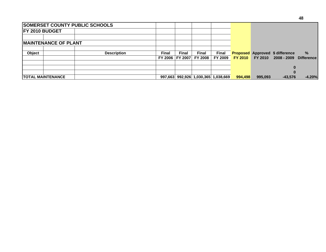| <b>SOMERSET COUNTY PUBLIC SCHOOLS</b> |                    |                |                |              |                                     |                |                |                                        |                   |
|---------------------------------------|--------------------|----------------|----------------|--------------|-------------------------------------|----------------|----------------|----------------------------------------|-------------------|
| <b>IFY 2010 BUDGET</b>                |                    |                |                |              |                                     |                |                |                                        |                   |
|                                       |                    |                |                |              |                                     |                |                |                                        |                   |
| <b>IMAINTENANCE OF PLANT</b>          |                    |                |                |              |                                     |                |                |                                        |                   |
|                                       |                    |                |                |              |                                     |                |                |                                        |                   |
| <b>Object</b>                         | <b>Description</b> | Final          | Final          | <b>Final</b> | Final                               |                |                | <b>Proposed Approved \$ difference</b> | $\frac{9}{6}$     |
|                                       |                    | <b>FY 2006</b> | <b>FY 2007</b> | FY 2008      | FY 2009                             | <b>FY 2010</b> | <b>FY 2010</b> | $2008 - 2009$                          | <b>Difference</b> |
|                                       |                    |                |                |              |                                     |                |                |                                        |                   |
|                                       |                    |                |                |              |                                     |                |                |                                        |                   |
| <b>ITOTAL MAINTENANCE</b>             |                    |                |                |              | 997,663 992,926 1,030,365 1,038,669 | 994.498        | 995.093        | $-43.576$                              | $-4.20%$          |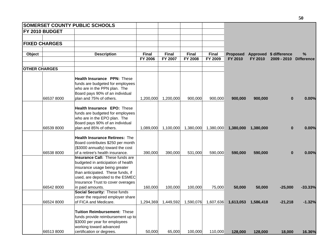| FY 2010 BUDGET       |                                                                             |                                                                                                                                                                                                                                                                                                                                                                                                                                                                                                                                                                                                                                                                                                                                                                                                                                                                                                                                                                                          |                                                                            |                                                         |                                                                              |                                                                         |                                                                                      |                                                      |                                                                                                                                                                               |
|----------------------|-----------------------------------------------------------------------------|------------------------------------------------------------------------------------------------------------------------------------------------------------------------------------------------------------------------------------------------------------------------------------------------------------------------------------------------------------------------------------------------------------------------------------------------------------------------------------------------------------------------------------------------------------------------------------------------------------------------------------------------------------------------------------------------------------------------------------------------------------------------------------------------------------------------------------------------------------------------------------------------------------------------------------------------------------------------------------------|----------------------------------------------------------------------------|---------------------------------------------------------|------------------------------------------------------------------------------|-------------------------------------------------------------------------|--------------------------------------------------------------------------------------|------------------------------------------------------|-------------------------------------------------------------------------------------------------------------------------------------------------------------------------------|
|                      |                                                                             |                                                                                                                                                                                                                                                                                                                                                                                                                                                                                                                                                                                                                                                                                                                                                                                                                                                                                                                                                                                          |                                                                            |                                                         |                                                                              |                                                                         |                                                                                      |                                                      |                                                                                                                                                                               |
|                      |                                                                             |                                                                                                                                                                                                                                                                                                                                                                                                                                                                                                                                                                                                                                                                                                                                                                                                                                                                                                                                                                                          |                                                                            |                                                         |                                                                              |                                                                         |                                                                                      |                                                      |                                                                                                                                                                               |
|                      |                                                                             |                                                                                                                                                                                                                                                                                                                                                                                                                                                                                                                                                                                                                                                                                                                                                                                                                                                                                                                                                                                          |                                                                            |                                                         |                                                                              |                                                                         |                                                                                      |                                                      | $\%$                                                                                                                                                                          |
|                      |                                                                             | <b>FY 2006</b>                                                                                                                                                                                                                                                                                                                                                                                                                                                                                                                                                                                                                                                                                                                                                                                                                                                                                                                                                                           | <b>FY 2007</b>                                                             | <b>FY 2008</b>                                          | FY 2009                                                                      | FY 2010                                                                 | FY 2010                                                                              | 2009 - 2010                                          | <b>Difference</b>                                                                                                                                                             |
| <b>OTHER CHARGES</b> |                                                                             |                                                                                                                                                                                                                                                                                                                                                                                                                                                                                                                                                                                                                                                                                                                                                                                                                                                                                                                                                                                          |                                                                            |                                                         |                                                                              |                                                                         |                                                                                      |                                                      |                                                                                                                                                                               |
|                      |                                                                             |                                                                                                                                                                                                                                                                                                                                                                                                                                                                                                                                                                                                                                                                                                                                                                                                                                                                                                                                                                                          |                                                                            |                                                         |                                                                              |                                                                         |                                                                                      |                                                      |                                                                                                                                                                               |
|                      |                                                                             |                                                                                                                                                                                                                                                                                                                                                                                                                                                                                                                                                                                                                                                                                                                                                                                                                                                                                                                                                                                          |                                                                            |                                                         |                                                                              |                                                                         |                                                                                      |                                                      |                                                                                                                                                                               |
|                      |                                                                             |                                                                                                                                                                                                                                                                                                                                                                                                                                                                                                                                                                                                                                                                                                                                                                                                                                                                                                                                                                                          |                                                                            |                                                         |                                                                              |                                                                         |                                                                                      |                                                      |                                                                                                                                                                               |
|                      |                                                                             |                                                                                                                                                                                                                                                                                                                                                                                                                                                                                                                                                                                                                                                                                                                                                                                                                                                                                                                                                                                          |                                                                            |                                                         |                                                                              |                                                                         |                                                                                      |                                                      |                                                                                                                                                                               |
|                      |                                                                             |                                                                                                                                                                                                                                                                                                                                                                                                                                                                                                                                                                                                                                                                                                                                                                                                                                                                                                                                                                                          |                                                                            |                                                         |                                                                              |                                                                         |                                                                                      |                                                      |                                                                                                                                                                               |
|                      |                                                                             |                                                                                                                                                                                                                                                                                                                                                                                                                                                                                                                                                                                                                                                                                                                                                                                                                                                                                                                                                                                          |                                                                            |                                                         |                                                                              |                                                                         |                                                                                      |                                                      | 0.00%                                                                                                                                                                         |
|                      |                                                                             |                                                                                                                                                                                                                                                                                                                                                                                                                                                                                                                                                                                                                                                                                                                                                                                                                                                                                                                                                                                          |                                                                            |                                                         |                                                                              |                                                                         |                                                                                      |                                                      |                                                                                                                                                                               |
|                      |                                                                             |                                                                                                                                                                                                                                                                                                                                                                                                                                                                                                                                                                                                                                                                                                                                                                                                                                                                                                                                                                                          |                                                                            |                                                         |                                                                              |                                                                         |                                                                                      |                                                      |                                                                                                                                                                               |
|                      |                                                                             |                                                                                                                                                                                                                                                                                                                                                                                                                                                                                                                                                                                                                                                                                                                                                                                                                                                                                                                                                                                          |                                                                            |                                                         |                                                                              |                                                                         |                                                                                      |                                                      |                                                                                                                                                                               |
|                      |                                                                             |                                                                                                                                                                                                                                                                                                                                                                                                                                                                                                                                                                                                                                                                                                                                                                                                                                                                                                                                                                                          |                                                                            |                                                         |                                                                              |                                                                         |                                                                                      |                                                      |                                                                                                                                                                               |
| 66539 8000           | plan and 85% of others.                                                     |                                                                                                                                                                                                                                                                                                                                                                                                                                                                                                                                                                                                                                                                                                                                                                                                                                                                                                                                                                                          |                                                                            |                                                         |                                                                              |                                                                         |                                                                                      |                                                      | 0.00%                                                                                                                                                                         |
|                      |                                                                             |                                                                                                                                                                                                                                                                                                                                                                                                                                                                                                                                                                                                                                                                                                                                                                                                                                                                                                                                                                                          |                                                                            |                                                         |                                                                              |                                                                         |                                                                                      |                                                      |                                                                                                                                                                               |
|                      |                                                                             |                                                                                                                                                                                                                                                                                                                                                                                                                                                                                                                                                                                                                                                                                                                                                                                                                                                                                                                                                                                          |                                                                            |                                                         |                                                                              |                                                                         |                                                                                      |                                                      |                                                                                                                                                                               |
|                      |                                                                             |                                                                                                                                                                                                                                                                                                                                                                                                                                                                                                                                                                                                                                                                                                                                                                                                                                                                                                                                                                                          |                                                                            |                                                         |                                                                              |                                                                         |                                                                                      |                                                      |                                                                                                                                                                               |
|                      |                                                                             |                                                                                                                                                                                                                                                                                                                                                                                                                                                                                                                                                                                                                                                                                                                                                                                                                                                                                                                                                                                          |                                                                            |                                                         |                                                                              |                                                                         |                                                                                      |                                                      |                                                                                                                                                                               |
|                      |                                                                             |                                                                                                                                                                                                                                                                                                                                                                                                                                                                                                                                                                                                                                                                                                                                                                                                                                                                                                                                                                                          |                                                                            |                                                         |                                                                              |                                                                         |                                                                                      |                                                      | 0.00%                                                                                                                                                                         |
|                      |                                                                             |                                                                                                                                                                                                                                                                                                                                                                                                                                                                                                                                                                                                                                                                                                                                                                                                                                                                                                                                                                                          |                                                                            |                                                         |                                                                              |                                                                         |                                                                                      |                                                      |                                                                                                                                                                               |
|                      |                                                                             |                                                                                                                                                                                                                                                                                                                                                                                                                                                                                                                                                                                                                                                                                                                                                                                                                                                                                                                                                                                          |                                                                            |                                                         |                                                                              |                                                                         |                                                                                      |                                                      |                                                                                                                                                                               |
|                      |                                                                             |                                                                                                                                                                                                                                                                                                                                                                                                                                                                                                                                                                                                                                                                                                                                                                                                                                                                                                                                                                                          |                                                                            |                                                         |                                                                              |                                                                         |                                                                                      |                                                      |                                                                                                                                                                               |
|                      |                                                                             |                                                                                                                                                                                                                                                                                                                                                                                                                                                                                                                                                                                                                                                                                                                                                                                                                                                                                                                                                                                          |                                                                            |                                                         |                                                                              |                                                                         |                                                                                      |                                                      |                                                                                                                                                                               |
|                      |                                                                             |                                                                                                                                                                                                                                                                                                                                                                                                                                                                                                                                                                                                                                                                                                                                                                                                                                                                                                                                                                                          |                                                                            |                                                         |                                                                              |                                                                         |                                                                                      |                                                      |                                                                                                                                                                               |
|                      |                                                                             |                                                                                                                                                                                                                                                                                                                                                                                                                                                                                                                                                                                                                                                                                                                                                                                                                                                                                                                                                                                          |                                                                            |                                                         |                                                                              |                                                                         |                                                                                      |                                                      | $-33.33%$                                                                                                                                                                     |
|                      |                                                                             |                                                                                                                                                                                                                                                                                                                                                                                                                                                                                                                                                                                                                                                                                                                                                                                                                                                                                                                                                                                          |                                                                            |                                                         |                                                                              |                                                                         |                                                                                      |                                                      |                                                                                                                                                                               |
|                      |                                                                             |                                                                                                                                                                                                                                                                                                                                                                                                                                                                                                                                                                                                                                                                                                                                                                                                                                                                                                                                                                                          |                                                                            |                                                         |                                                                              |                                                                         |                                                                                      |                                                      |                                                                                                                                                                               |
| 66524 8000           | of FICA and Medicare.                                                       |                                                                                                                                                                                                                                                                                                                                                                                                                                                                                                                                                                                                                                                                                                                                                                                                                                                                                                                                                                                          |                                                                            |                                                         |                                                                              |                                                                         |                                                                                      |                                                      | $-1.32%$                                                                                                                                                                      |
|                      |                                                                             |                                                                                                                                                                                                                                                                                                                                                                                                                                                                                                                                                                                                                                                                                                                                                                                                                                                                                                                                                                                          |                                                                            |                                                         |                                                                              |                                                                         |                                                                                      |                                                      |                                                                                                                                                                               |
|                      |                                                                             |                                                                                                                                                                                                                                                                                                                                                                                                                                                                                                                                                                                                                                                                                                                                                                                                                                                                                                                                                                                          |                                                                            |                                                         |                                                                              |                                                                         |                                                                                      |                                                      |                                                                                                                                                                               |
|                      |                                                                             |                                                                                                                                                                                                                                                                                                                                                                                                                                                                                                                                                                                                                                                                                                                                                                                                                                                                                                                                                                                          |                                                                            |                                                         |                                                                              |                                                                         |                                                                                      |                                                      |                                                                                                                                                                               |
|                      |                                                                             |                                                                                                                                                                                                                                                                                                                                                                                                                                                                                                                                                                                                                                                                                                                                                                                                                                                                                                                                                                                          |                                                                            |                                                         |                                                                              |                                                                         |                                                                                      |                                                      |                                                                                                                                                                               |
|                      |                                                                             |                                                                                                                                                                                                                                                                                                                                                                                                                                                                                                                                                                                                                                                                                                                                                                                                                                                                                                                                                                                          |                                                                            |                                                         |                                                                              |                                                                         |                                                                                      |                                                      | 16.36%                                                                                                                                                                        |
|                      | <b>FIXED CHARGES</b><br>66537 8000<br>66538 8000<br>66542 8000<br>665138000 | <b>SOMERSET COUNTY PUBLIC SCHOOLS</b><br><b>Description</b><br><b>Health Insurance PPN: These</b><br>funds are budgeted for employees<br>who are in the PPN plan. The<br>Board pays 90% of an individual<br>plan and 75% of others.<br><b>Health Insurance EPO: These</b><br>funds are budgeted for employees<br>who are in the EPO plan. The<br>Board pays 90% of an individual<br><b>Health Insurance Retirees: The</b><br>Board contributes \$250 per month<br>(\$3000 annually) toward the cost<br>of a retiree's health insurance.<br>Insurance Call: These funds are<br>budgeted in anticipation of health<br>insurance usage being greater<br>than anticipated. These funds, if<br>used, are deposited to the ESMEC<br>Insurance Trust to cover overages<br>in paid amounts.<br>Social Security: These funds<br>cover the required employer share<br><b>Tuition Reimbursement: These</b><br>\$3000 per year for employees<br>working toward advanced<br>certification or degrees. | Final<br>390,000<br>160,000<br>funds provide reimbursement up to<br>50,000 | Final<br>1,200,000<br>1,089,000<br>390,000<br>1,294,369 | Final<br>1,200,000<br>1,100,000<br>531,000<br>100,000<br>1,449,592<br>65,000 | <b>Final</b><br>900,000<br>1,380,000<br>100,000<br>1,590,076<br>100,000 | <b>Proposed</b><br>900,000<br>1,380,000<br>590,000<br>75,000<br>1,607,636<br>110,000 | 900,000<br>1,380,000<br>590,000<br>50,000<br>128,000 | Approved \$ difference<br>900,000<br>$\bf{0}$<br>1,380,000<br>$\bf{0}$<br>590,000<br>$\bf{0}$<br>$-25,000$<br>50,000<br>1,613,053 1,586,418<br>$-21,218$<br>18,000<br>128,000 |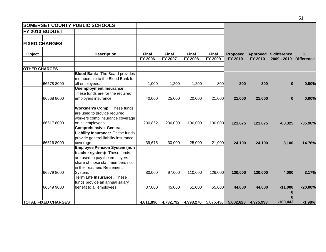|        |                            | SOMERSET COUNTY PUBLIC SCHOOLS        |           |              |              |              |                 |           |                        |                   |
|--------|----------------------------|---------------------------------------|-----------|--------------|--------------|--------------|-----------------|-----------|------------------------|-------------------|
|        | FY 2010 BUDGET             |                                       |           |              |              |              |                 |           |                        |                   |
|        |                            |                                       |           |              |              |              |                 |           |                        |                   |
|        | <b>FIXED CHARGES</b>       |                                       |           |              |              |              |                 |           |                        |                   |
| Object |                            | <b>Description</b>                    | Final     | <b>Final</b> | <b>Final</b> | <b>Final</b> | <b>Proposed</b> |           | Approved \$ difference | $\frac{9}{6}$     |
|        |                            |                                       | FY 2006   | FY 2007      | FY 2008      | FY 2009      | FY 2010         | FY 2010   | 2009 - 2010            | <b>Difference</b> |
|        | <b>OTHER CHARGES</b>       |                                       |           |              |              |              |                 |           |                        |                   |
|        |                            | <b>Blood Bank:</b> The Board provides |           |              |              |              |                 |           |                        |                   |
|        |                            | membership to the Blood Bank for      |           |              |              |              |                 |           |                        |                   |
|        | 66578 8000                 | all employees.                        | 1,000     | 1,200        | 1,200        | 800          | 800             | 800       | $\bf{0}$               | 0.00%             |
|        |                            | <b>Unemployment Insurance:</b>        |           |              |              |              |                 |           |                        |                   |
|        |                            | These funds are for the required      |           |              |              |              |                 |           |                        |                   |
|        | 66568 8000                 | employers insurance.                  | 40,000    | 25,000       | 20,000       | 21,000       | 21,000          | 21,000    | $\bf{0}$               | 0.00%             |
|        |                            | Workmen's Comp: These funds           |           |              |              |              |                 |           |                        |                   |
|        |                            | are used to provide required          |           |              |              |              |                 |           |                        |                   |
|        |                            | workers comp insurance coverage       |           |              |              |              |                 |           |                        |                   |
|        | 665178000                  | on all employees.                     | 230,852   | 230,000      | 190,000      | 190,000      | 121,675         | 121,675   | $-68,325$              | $-35.96%$         |
|        |                            | <b>Comprehensive, General</b>         |           |              |              |              |                 |           |                        |                   |
|        |                            | Liability Insurance: These funds      |           |              |              |              |                 |           |                        |                   |
|        |                            | provide general liability insurance   |           |              |              |              |                 |           |                        |                   |
|        | 66516 8000                 | coverage.                             | 39,675    | 30,000       | 25,000       | 21,000       | 24,100          | 24,100    | 3,100                  | 14.76%            |
|        |                            | <b>Employee Pension System (non</b>   |           |              |              |              |                 |           |                        |                   |
|        |                            | teacher system): These funds          |           |              |              |              |                 |           |                        |                   |
|        |                            | are used to pay the employers         |           |              |              |              |                 |           |                        |                   |
|        |                            | share of those staff members not      |           |              |              |              |                 |           |                        |                   |
|        |                            | in the Teachers Retirement            |           |              |              |              |                 |           |                        |                   |
|        | 66579 8000                 | System.                               | 80,000    | 97,000       | 110,000      | 126,000      | 130,000         | 130,000   | 4,000                  | 3.17%             |
|        |                            | Term Life Insurance: These            |           |              |              |              |                 |           |                        |                   |
|        |                            | funds provide an annual salary        |           |              |              |              |                 |           |                        |                   |
|        | 66549 9000                 | benefit to all employees.             | 37,000    | 45,000       | 51,000       | 55,000       | 44,000          | 44,000    | $-11,000$              | $-20.00%$         |
|        |                            |                                       |           |              |              |              |                 |           | $\bf{0}$               |                   |
|        |                            |                                       |           |              |              |              |                 |           |                        |                   |
|        | <b>TOTAL FIXED CHARGES</b> |                                       | 4,611,896 | 4,732,792    | 4,998,276    | 5,076,436    | 5,002,628       | 4,975,993 | $-100,443$             | $-1.98%$          |